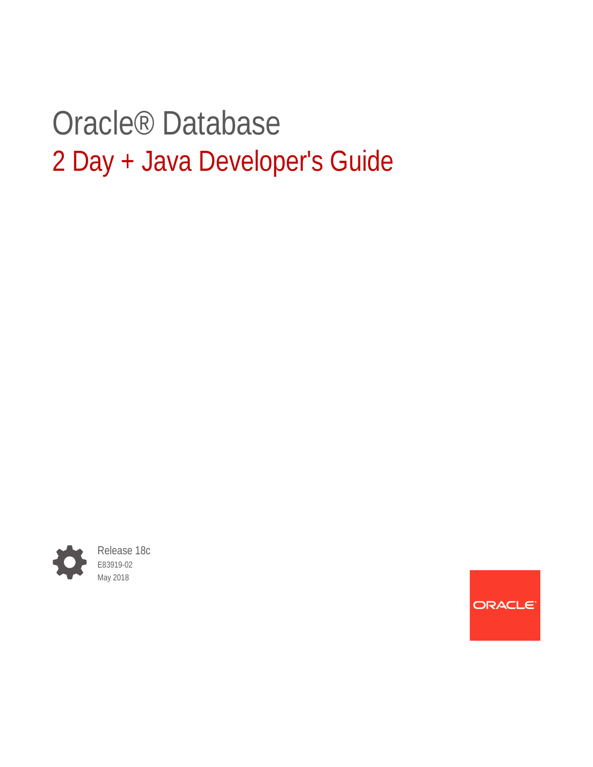# Oracle® Database 2 Day + Java Developer's Guide



Release 18c E83919-02 May 2018

ORACLE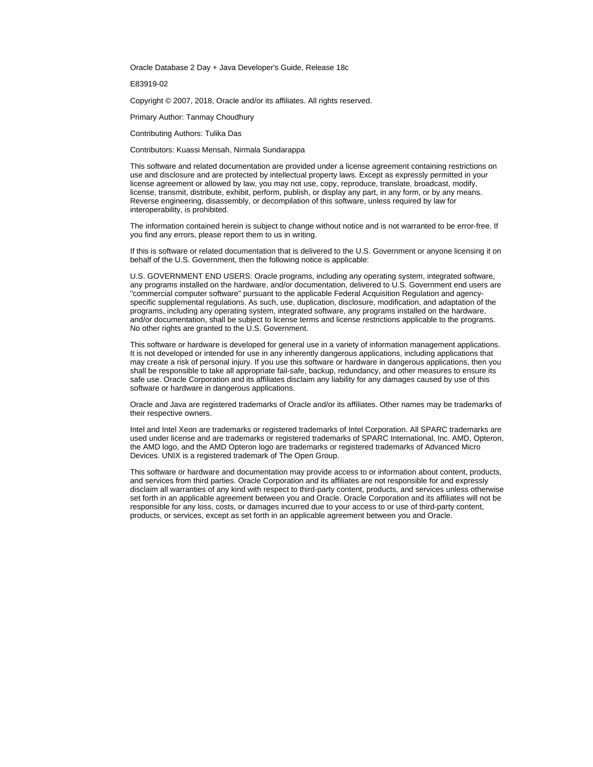Oracle Database 2 Day + Java Developer's Guide, Release 18c

E83919-02

Copyright © 2007, 2018, Oracle and/or its affiliates. All rights reserved.

Primary Author: Tanmay Choudhury

Contributing Authors: Tulika Das

Contributors: Kuassi Mensah, Nirmala Sundarappa

This software and related documentation are provided under a license agreement containing restrictions on use and disclosure and are protected by intellectual property laws. Except as expressly permitted in your license agreement or allowed by law, you may not use, copy, reproduce, translate, broadcast, modify, license, transmit, distribute, exhibit, perform, publish, or display any part, in any form, or by any means. Reverse engineering, disassembly, or decompilation of this software, unless required by law for interoperability, is prohibited.

The information contained herein is subject to change without notice and is not warranted to be error-free. If you find any errors, please report them to us in writing.

If this is software or related documentation that is delivered to the U.S. Government or anyone licensing it on behalf of the U.S. Government, then the following notice is applicable:

U.S. GOVERNMENT END USERS: Oracle programs, including any operating system, integrated software, any programs installed on the hardware, and/or documentation, delivered to U.S. Government end users are "commercial computer software" pursuant to the applicable Federal Acquisition Regulation and agencyspecific supplemental regulations. As such, use, duplication, disclosure, modification, and adaptation of the programs, including any operating system, integrated software, any programs installed on the hardware, and/or documentation, shall be subject to license terms and license restrictions applicable to the programs. No other rights are granted to the U.S. Government.

This software or hardware is developed for general use in a variety of information management applications. It is not developed or intended for use in any inherently dangerous applications, including applications that may create a risk of personal injury. If you use this software or hardware in dangerous applications, then you shall be responsible to take all appropriate fail-safe, backup, redundancy, and other measures to ensure its safe use. Oracle Corporation and its affiliates disclaim any liability for any damages caused by use of this software or hardware in dangerous applications.

Oracle and Java are registered trademarks of Oracle and/or its affiliates. Other names may be trademarks of their respective owners.

Intel and Intel Xeon are trademarks or registered trademarks of Intel Corporation. All SPARC trademarks are used under license and are trademarks or registered trademarks of SPARC International, Inc. AMD, Opteron, the AMD logo, and the AMD Opteron logo are trademarks or registered trademarks of Advanced Micro Devices. UNIX is a registered trademark of The Open Group.

This software or hardware and documentation may provide access to or information about content, products, and services from third parties. Oracle Corporation and its affiliates are not responsible for and expressly disclaim all warranties of any kind with respect to third-party content, products, and services unless otherwise set forth in an applicable agreement between you and Oracle. Oracle Corporation and its affiliates will not be responsible for any loss, costs, or damages incurred due to your access to or use of third-party content, products, or services, except as set forth in an applicable agreement between you and Oracle.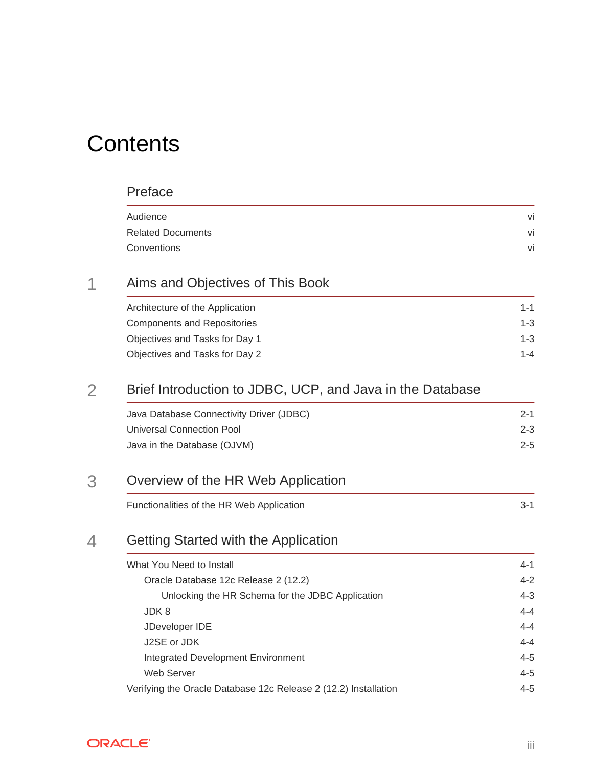# **Contents**

### [Preface](#page-5-0)

| VI |
|----|
| vi |
| vi |
|    |

### 1 [Aims and Objectives of This Book](#page-6-0)

| Architecture of the Application | $1 - 1$ |
|---------------------------------|---------|
| Components and Repositories     | $1 - 3$ |
| Objectives and Tasks for Day 1  | $1 - 3$ |
| Objectives and Tasks for Day 2  | $1 - 4$ |

### 2 [Brief Introduction to JDBC, UCP, and Java in the Database](#page-10-0)

| Java Database Connectivity Driver (JDBC)         | $2 - 1$ |
|--------------------------------------------------|---------|
| Universal Connection Pool                        | $2 - 3$ |
| Java in the Database (OJVM)                      | $2 - 5$ |
| Overview of the HR Web Application               |         |
| Functionalities of the HR Web Application        | $3-1$   |
| Getting Started with the Application             |         |
| What You Need to Install                         | $4 - 1$ |
| Oracle Database 12c Release 2 (12.2)             | $4 - 2$ |
| Unlocking the HR Schema for the JDBC Application | $4 - 3$ |
| JDK8                                             | $4 - 4$ |
| JDeveloper IDE                                   | $4 - 4$ |
| J2SE or JDK                                      |         |
|                                                  | $4 - 4$ |
| <b>Integrated Development Environment</b>        | $4 - 5$ |

[Verifying the Oracle Database 12c Release 2 \(12.2\) Installation 4-5](#page-22-0)

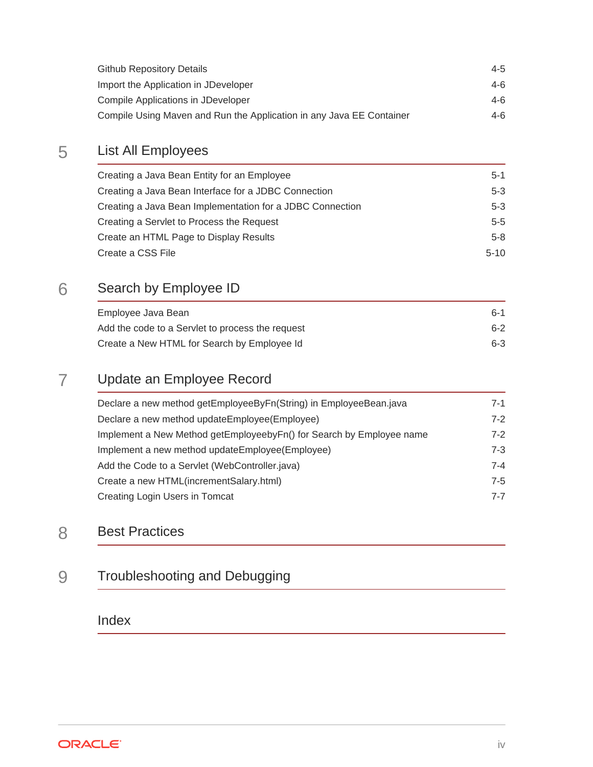| <b>Github Repository Details</b>                                     | 4-5 |
|----------------------------------------------------------------------|-----|
| Import the Application in JDeveloper                                 | 4-6 |
| Compile Applications in JDeveloper                                   | 4-6 |
| Compile Using Maven and Run the Application in any Java EE Container | 4-6 |

### 5 [List All Employees](#page-25-0)

| Creating a Java Bean Entity for an Employee               | $5-1$    |
|-----------------------------------------------------------|----------|
| Creating a Java Bean Interface for a JDBC Connection      | $5-3$    |
| Creating a Java Bean Implementation for a JDBC Connection | $5-3$    |
| Creating a Servlet to Process the Request                 | $5-5$    |
| Create an HTML Page to Display Results                    | $5-8$    |
| Create a CSS File                                         | $5 - 10$ |
|                                                           |          |

### 6 [Search by Employee ID](#page-35-0)

| Employee Java Bean                               | 6-1 |
|--------------------------------------------------|-----|
| Add the code to a Servlet to process the request | հ-2 |
| Create a New HTML for Search by Employee Id      | 6-3 |

### 7 [Update an Employee Record](#page-39-0)

| Declare a new method getEmployeeByFn(String) in EmployeeBean.java    | 7-1     |
|----------------------------------------------------------------------|---------|
| Declare a new method updateEmployee(Employee)                        | $7-2$   |
| Implement a New Method getEmployeebyFn() for Search by Employee name | 7-2     |
| Implement a new method updateEmployee(Employee)                      | 7-3     |
| Add the Code to a Servlet (WebController.java)                       | 7-4     |
| Create a new HTML(incrementSalary.html)                              | $7-5$   |
| Creating Login Users in Tomcat                                       | $7 - 7$ |

### 8 [Best Practices](#page-52-0)

### 9 [Troubleshooting and Debugging](#page-53-0)

### [Index](#page-54-0)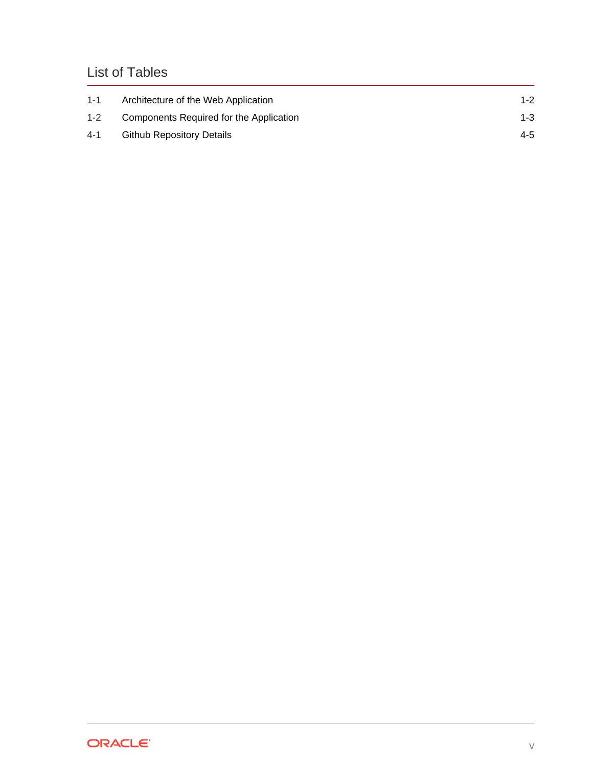### List of Tables

| $1 - 1$ | Architecture of the Web Application     | $1 - 2$ |
|---------|-----------------------------------------|---------|
| $1 - 2$ | Components Required for the Application | $1 - 3$ |
| $4 - 1$ | <b>Github Repository Details</b>        | $4 - 5$ |

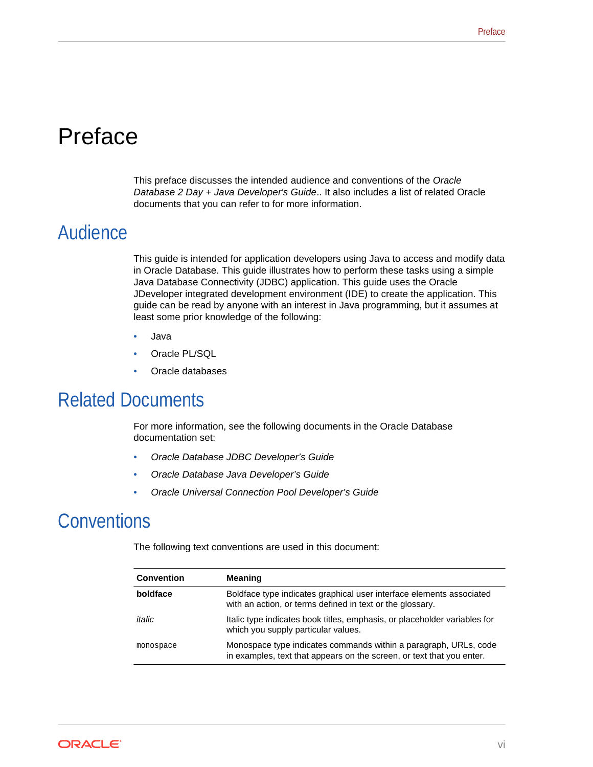# <span id="page-5-0"></span>Preface

This preface discusses the intended audience and conventions of the *Oracle Database 2 Day + Java Developer's Guide*.. It also includes a list of related Oracle documents that you can refer to for more information.

### Audience

This guide is intended for application developers using Java to access and modify data in Oracle Database. This guide illustrates how to perform these tasks using a simple Java Database Connectivity (JDBC) application. This guide uses the Oracle JDeveloper integrated development environment (IDE) to create the application. This guide can be read by anyone with an interest in Java programming, but it assumes at least some prior knowledge of the following:

- Java
- Oracle PL/SQL
- Oracle databases

### Related Documents

For more information, see the following documents in the Oracle Database documentation set:

- *Oracle Database JDBC Developer's Guide*
- *Oracle Database Java Developer's Guide*
- *Oracle Universal Connection Pool Developer's Guide*

### **Conventions**

The following text conventions are used in this document:

| <b>Convention</b> | <b>Meaning</b>                                                                                                                            |
|-------------------|-------------------------------------------------------------------------------------------------------------------------------------------|
| boldface          | Boldface type indicates graphical user interface elements associated<br>with an action, or terms defined in text or the glossary.         |
| italic            | Italic type indicates book titles, emphasis, or placeholder variables for<br>which you supply particular values.                          |
| monospace         | Monospace type indicates commands within a paragraph, URLs, code<br>in examples, text that appears on the screen, or text that you enter. |

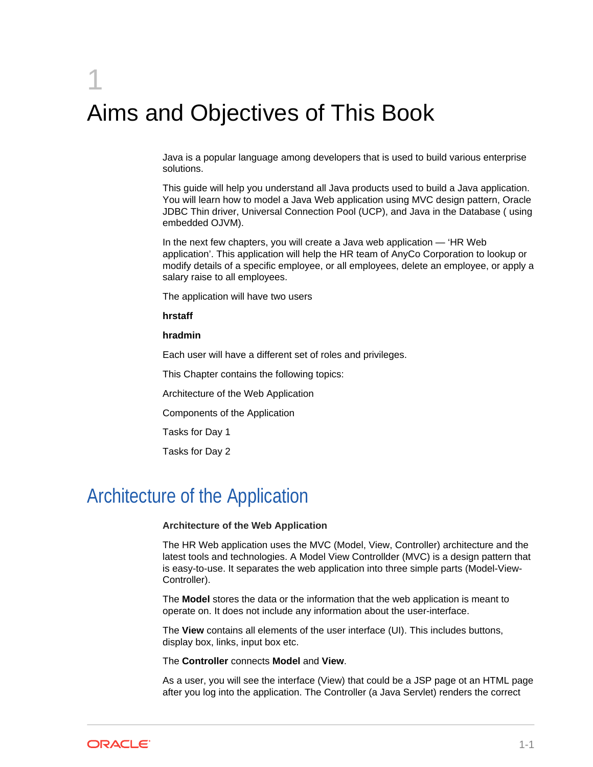# <span id="page-6-0"></span>1 Aims and Objectives of This Book

Java is a popular language among developers that is used to build various enterprise solutions.

This guide will help you understand all Java products used to build a Java application. You will learn how to model a Java Web application using MVC design pattern, Oracle JDBC Thin driver, Universal Connection Pool (UCP), and Java in the Database ( using embedded OJVM).

In the next few chapters, you will create a Java web application — 'HR Web application'. This application will help the HR team of AnyCo Corporation to lookup or modify details of a specific employee, or all employees, delete an employee, or apply a salary raise to all employees.

The application will have two users

**hrstaff**

**hradmin**

Each user will have a different set of roles and privileges.

This Chapter contains the following topics:

Architecture of the Web Application

Components of the Application

Tasks for Day 1

Tasks for Day 2

### Architecture of the Application

#### **Architecture of the Web Application**

The HR Web application uses the MVC (Model, View, Controller) architecture and the latest tools and technologies. A Model View Controllder (MVC) is a design pattern that is easy-to-use. It separates the web application into three simple parts (Model-View-Controller).

The **Model** stores the data or the information that the web application is meant to operate on. It does not include any information about the user-interface.

The **View** contains all elements of the user interface (UI). This includes buttons, display box, links, input box etc.

The **Controller** connects **Model** and **View**.

As a user, you will see the interface (View) that could be a JSP page ot an HTML page after you log into the application. The Controller (a Java Servlet) renders the correct

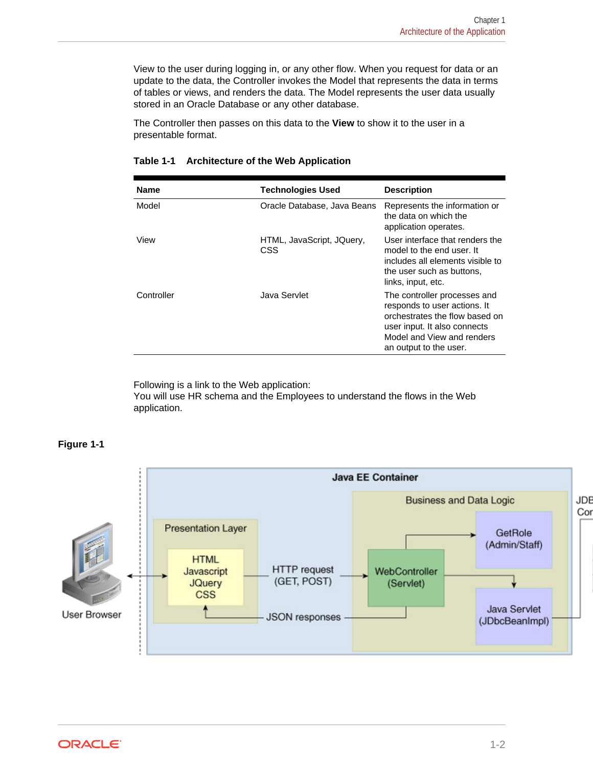<span id="page-7-0"></span>View to the user during logging in, or any other flow. When you request for data or an update to the data, the Controller invokes the Model that represents the data in terms of tables or views, and renders the data. The Model represents the user data usually stored in an Oracle Database or any other database.

The Controller then passes on this data to the **View** to show it to the user in a presentable format.

| <b>Name</b> | <b>Technologies Used</b>          | <b>Description</b>                                                                                                                                                                     |
|-------------|-----------------------------------|----------------------------------------------------------------------------------------------------------------------------------------------------------------------------------------|
| Model       | Oracle Database, Java Beans       | Represents the information or<br>the data on which the<br>application operates.                                                                                                        |
| View        | HTML, JavaScript, JOuery,<br>CSS. | User interface that renders the<br>model to the end user. It<br>includes all elements visible to<br>the user such as buttons.<br>links, input, etc.                                    |
| Controller  | Java Servlet                      | The controller processes and<br>responds to user actions. It<br>orchestrates the flow based on<br>user input. It also connects<br>Model and View and renders<br>an output to the user. |

**Table 1-1 Architecture of the Web Application**

Following is a link to the Web application: You will use HR schema and the Employees to understand the flows in the Web application.

**Figure 1-1** 

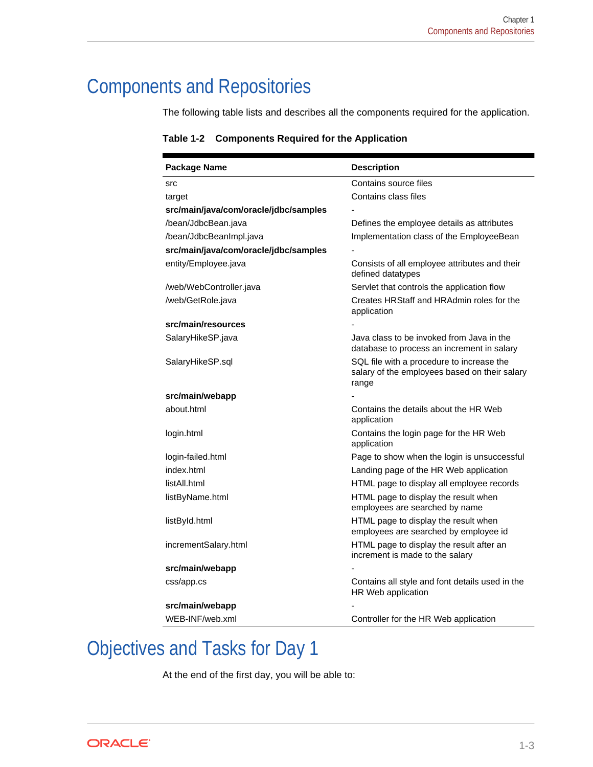# <span id="page-8-0"></span>Components and Repositories

The following table lists and describes all the components required for the application.

| <b>Package Name</b>                   | <b>Description</b>                                                                                  |
|---------------------------------------|-----------------------------------------------------------------------------------------------------|
| <b>SrC</b>                            | Contains source files                                                                               |
| target                                | Contains class files                                                                                |
| src/main/java/com/oracle/jdbc/samples |                                                                                                     |
| /bean/JdbcBean.java                   | Defines the employee details as attributes                                                          |
| /bean/JdbcBeanImpl.java               | Implementation class of the EmployeeBean                                                            |
| src/main/java/com/oracle/jdbc/samples |                                                                                                     |
| entity/Employee.java                  | Consists of all employee attributes and their<br>defined datatypes                                  |
| /web/WebController.java               | Servlet that controls the application flow                                                          |
| /web/GetRole.java                     | Creates HRStaff and HRAdmin roles for the<br>application                                            |
| src/main/resources                    |                                                                                                     |
| SalaryHikeSP.java                     | Java class to be invoked from Java in the<br>database to process an increment in salary             |
| SalaryHikeSP.sql                      | SQL file with a procedure to increase the<br>salary of the employees based on their salary<br>range |
| src/main/webapp                       |                                                                                                     |
| about.html                            | Contains the details about the HR Web<br>application                                                |
| login.html                            | Contains the login page for the HR Web<br>application                                               |
| login-failed.html                     | Page to show when the login is unsuccessful                                                         |
| index.html                            | Landing page of the HR Web application                                                              |
| listAll.html                          | HTML page to display all employee records                                                           |
| listByName.html                       | HTML page to display the result when<br>employees are searched by name                              |
| listById.html                         | HTML page to display the result when<br>employees are searched by employee id                       |
| incrementSalary.html                  | HTML page to display the result after an<br>increment is made to the salary                         |
| src/main/webapp                       |                                                                                                     |
| css/app.cs                            | Contains all style and font details used in the<br>HR Web application                               |
| src/main/webapp                       |                                                                                                     |
| WFB-INF/web.xml                       | Controller for the HR Web application                                                               |

#### **Table 1-2 Components Required for the Application**

# Objectives and Tasks for Day 1

At the end of the first day, you will be able to:

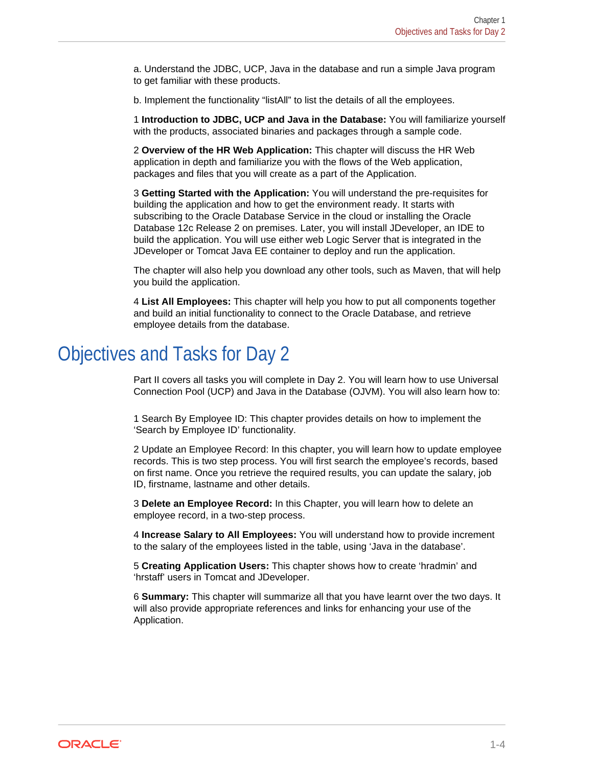<span id="page-9-0"></span>a. Understand the JDBC, UCP, Java in the database and run a simple Java program to get familiar with these products.

b. Implement the functionality "listAll" to list the details of all the employees.

1 **Introduction to JDBC, UCP and Java in the Database:** You will familiarize yourself with the products, associated binaries and packages through a sample code.

2 **Overview of the HR Web Application:** This chapter will discuss the HR Web application in depth and familiarize you with the flows of the Web application, packages and files that you will create as a part of the Application.

3 **Getting Started with the Application:** You will understand the pre-requisites for building the application and how to get the environment ready. It starts with subscribing to the Oracle Database Service in the cloud or installing the Oracle Database 12c Release 2 on premises. Later, you will install JDeveloper, an IDE to build the application. You will use either web Logic Server that is integrated in the JDeveloper or Tomcat Java EE container to deploy and run the application.

The chapter will also help you download any other tools, such as Maven, that will help you build the application.

4 **List All Employees:** This chapter will help you how to put all components together and build an initial functionality to connect to the Oracle Database, and retrieve employee details from the database.

# Objectives and Tasks for Day 2

Part II covers all tasks you will complete in Day 2. You will learn how to use Universal Connection Pool (UCP) and Java in the Database (OJVM). You will also learn how to:

1 Search By Employee ID: This chapter provides details on how to implement the 'Search by Employee ID' functionality.

2 Update an Employee Record: In this chapter, you will learn how to update employee records. This is two step process. You will first search the employee's records, based on first name. Once you retrieve the required results, you can update the salary, job ID, firstname, lastname and other details.

3 **Delete an Employee Record:** In this Chapter, you will learn how to delete an employee record, in a two-step process.

4 **Increase Salary to All Employees:** You will understand how to provide increment to the salary of the employees listed in the table, using 'Java in the database'.

5 **Creating Application Users:** This chapter shows how to create 'hradmin' and 'hrstaff' users in Tomcat and JDeveloper.

6 **Summary:** This chapter will summarize all that you have learnt over the two days. It will also provide appropriate references and links for enhancing your use of the Application.

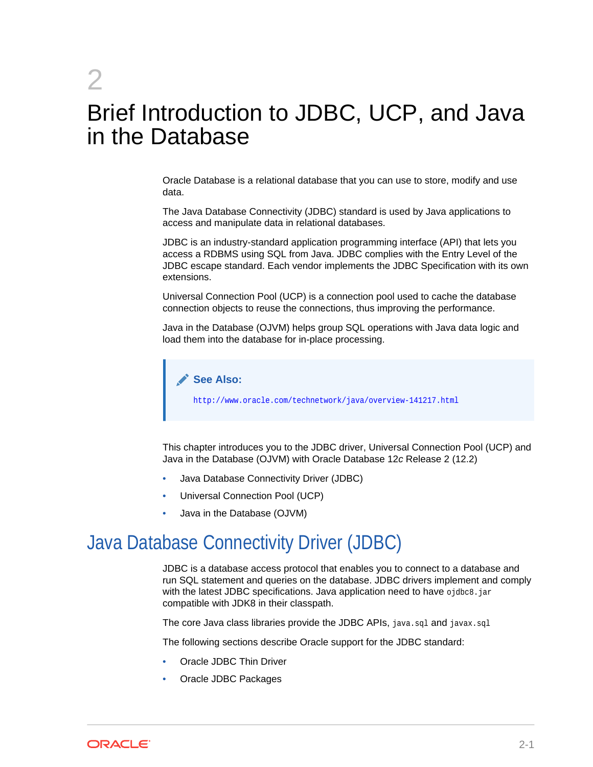# <span id="page-10-0"></span>2 Brief Introduction to JDBC, UCP, and Java in the Database

Oracle Database is a relational database that you can use to store, modify and use data.

The Java Database Connectivity (JDBC) standard is used by Java applications to access and manipulate data in relational databases.

JDBC is an industry-standard application programming interface (API) that lets you access a RDBMS using SQL from Java. JDBC complies with the Entry Level of the JDBC escape standard. Each vendor implements the JDBC Specification with its own extensions.

Universal Connection Pool (UCP) is a connection pool used to cache the database connection objects to reuse the connections, thus improving the performance.

Java in the Database (OJVM) helps group SQL operations with Java data logic and load them into the database for in-place processing.

**See Also:** <http://www.oracle.com/technetwork/java/overview-141217.html>

This chapter introduces you to the JDBC driver, Universal Connection Pool (UCP) and Java in the Database (OJVM) with Oracle Database 12*c* Release 2 (12.2)

- Java Database Connectivity Driver (JDBC)
- Universal Connection Pool (UCP)
- Java in the Database (OJVM)

### Java Database Connectivity Driver (JDBC)

JDBC is a database access protocol that enables you to connect to a database and run SQL statement and queries on the database. JDBC drivers implement and comply with the latest JDBC specifications. Java application need to have ojdbc8.jar compatible with JDK8 in their classpath.

The core Java class libraries provide the JDBC APIs, java.sql and javax.sql

The following sections describe Oracle support for the JDBC standard:

- Oracle JDBC Thin Driver
- Oracle JDBC Packages

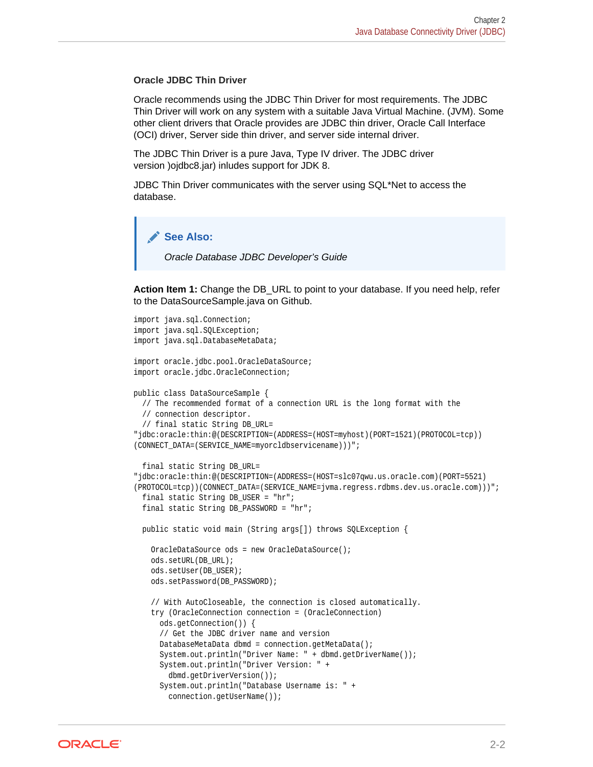#### **Oracle JDBC Thin Driver**

Oracle recommends using the JDBC Thin Driver for most requirements. The JDBC Thin Driver will work on any system with a suitable Java Virtual Machine. (JVM). Some other client drivers that Oracle provides are JDBC thin driver, Oracle Call Interface (OCI) driver, Server side thin driver, and server side internal driver.

The JDBC Thin Driver is a pure Java, Type IV driver. The JDBC driver version )ojdbc8.jar) inludes support for JDK 8.

JDBC Thin Driver communicates with the server using SQL\*Net to access the database.

**See Also:** *Oracle Database JDBC Developer's Guide*

**Action Item 1:** Change the DB\_URL to point to your database. If you need help, refer to the DataSourceSample.java on Github.

```
import java.sql.Connection;
import java.sql.SQLException;
import java.sql.DatabaseMetaData;
import oracle.jdbc.pool.OracleDataSource;
import oracle.jdbc.OracleConnection;
public class DataSourceSample { 
   // The recommended format of a connection URL is the long format with the
   // connection descriptor.
   // final static String DB_URL= 
"jdbc:oracle:thin:@(DESCRIPTION=(ADDRESS=(HOST=myhost)(PORT=1521)(PROTOCOL=tcp))
(CONNECT_DATA=(SERVICE_NAME=myorcldbservicename)))";
   final static String DB_URL= 
"jdbc:oracle:thin:@(DESCRIPTION=(ADDRESS=(HOST=slc07qwu.us.oracle.com)(PORT=5521)
(PROTOCOL=tcp))(CONNECT_DATA=(SERVICE_NAME=jvma.regress.rdbms.dev.us.oracle.com)))";
   final static String DB_USER = "hr";
   final static String DB_PASSWORD = "hr";
   public static void main (String args[]) throws SQLException {
     OracleDataSource ods = new OracleDataSource();
     ods.setURL(DB_URL); 
     ods.setUser(DB_USER);
     ods.setPassword(DB_PASSWORD);
     // With AutoCloseable, the connection is closed automatically.
     try (OracleConnection connection = (OracleConnection) 
       ods.getConnection()) {
       // Get the JDBC driver name and version 
       DatabaseMetaData dbmd = connection.getMetaData(); 
       System.out.println("Driver Name: " + dbmd.getDriverName());
       System.out.println("Driver Version: " + 
        dbmd.qetDriverVersion());
       System.out.println("Database Username is: " + 
         connection.getUserName());
```
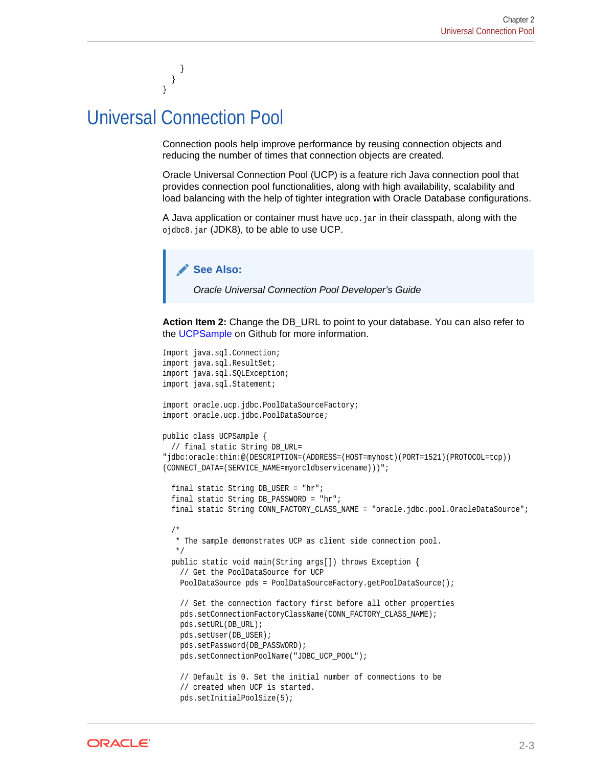# <span id="page-12-0"></span>Universal Connection Pool

 $\left\{\begin{array}{ccc} \end{array}\right\}$  } }

Connection pools help improve performance by reusing connection objects and reducing the number of times that connection objects are created.

Oracle Universal Connection Pool (UCP) is a feature rich Java connection pool that provides connection pool functionalities, along with high availability, scalability and load balancing with the help of tighter integration with Oracle Database configurations.

A Java application or container must have  $ucp$ ,  $jar$  in their classpath, along with the ojdbc8.jar (JDK8), to be able to use UCP.

#### **See Also:**

*Oracle Universal Connection Pool Developer's Guide*

**Action Item 2:** Change the DB\_URL to point to your database. You can also refer to the [UCPSample](https://github.com/oracle/oracle-db-examples/blob/master/java/ucp/ConnectionManagementSamples/UCPSample.java) on Github for more information.

```
Import java.sql.Connection;
import java.sql.ResultSet;
import java.sql.SQLException;
import java.sql.Statement;
import oracle.ucp.jdbc.PoolDataSourceFactory;
import oracle.ucp.jdbc.PoolDataSource;
public class UCPSample {
  // final static String DB_URL= 
"jdbc:oracle:thin:@(DESCRIPTION=(ADDRESS=(HOST=myhost)(PORT=1521)(PROTOCOL=tcp))
(CONNECT_DATA=(SERVICE_NAME=myorcldbservicename)))";
  final static String DB_USER = "hr";
  final static String DB_PASSWORD = "hr";
  final static String CONN_FACTORY_CLASS_NAME = "oracle.jdbc.pool.OracleDataSource";
   /*
    * The sample demonstrates UCP as client side connection pool.
    */
  public static void main(String args[]) throws Exception {
     // Get the PoolDataSource for UCP
    PoolDataSource pds = PoolDataSourceFactory.getPoolDataSource();
     // Set the connection factory first before all other properties
    pds.setConnectionFactoryClassName(CONN_FACTORY_CLASS_NAME);
    pds.setURL(DB_URL);
    pds.setUser(DB_USER);
    pds.setPassword(DB_PASSWORD);
    pds.setConnectionPoolName("JDBC_UCP_POOL");
     // Default is 0. Set the initial number of connections to be 
     // created when UCP is started.
    pds.setInitialPoolSize(5);
```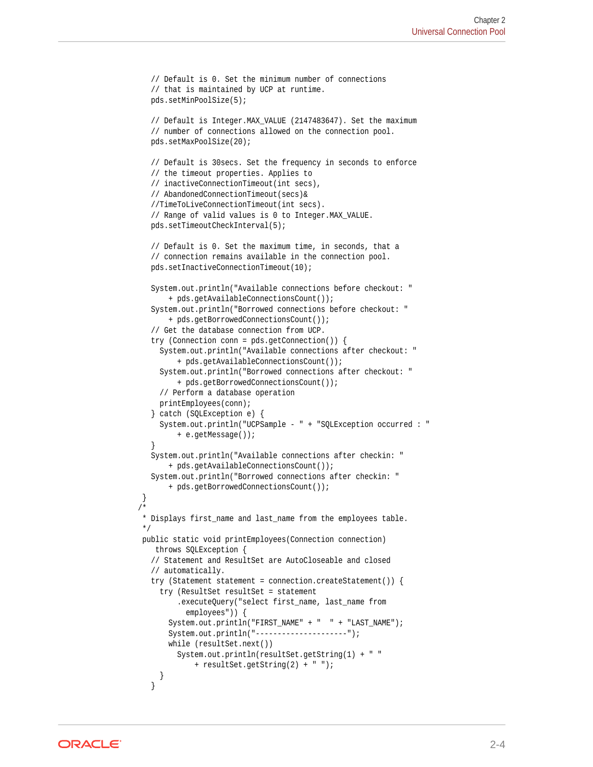```
 // Default is 0. Set the minimum number of connections
    // that is maintained by UCP at runtime.
    pds.setMinPoolSize(5);
    // Default is Integer.MAX_VALUE (2147483647). Set the maximum 
    // number of connections allowed on the connection pool.
    pds.setMaxPoolSize(20);
    // Default is 30secs. Set the frequency in seconds to enforce 
    // the timeout properties. Applies to 
    // inactiveConnectionTimeout(int secs),
    // AbandonedConnectionTimeout(secs)& 
    //TimeToLiveConnectionTimeout(int secs).
    // Range of valid values is 0 to Integer.MAX_VALUE.
    pds.setTimeoutCheckInterval(5);
    // Default is 0. Set the maximum time, in seconds, that a
    // connection remains available in the connection pool.
    pds.setInactiveConnectionTimeout(10);
    System.out.println("Available connections before checkout: "
         + pds.getAvailableConnectionsCount());
    System.out.println("Borrowed connections before checkout: "
         + pds.getBorrowedConnectionsCount());
    // Get the database connection from UCP.
    try (Connection conn = pds.getConnection()) {
      System.out.println("Available connections after checkout: "
           + pds.getAvailableConnectionsCount());
       System.out.println("Borrowed connections after checkout: "
           + pds.getBorrowedConnectionsCount());
       // Perform a database operation
       printEmployees(conn);
     } catch (SQLException e) {
       System.out.println("UCPSample - " + "SQLException occurred : "
           + e.getMessage());
\left\{\begin{array}{ccc} \end{array}\right\} System.out.println("Available connections after checkin: "
         + pds.getAvailableConnectionsCount());
    System.out.println("Borrowed connections after checkin: "
         + pds.getBorrowedConnectionsCount());
\vert /*
  * Displays first_name and last_name from the employees table.
  */
  public static void printEmployees(Connection connection) 
     throws SQLException {
    // Statement and ResultSet are AutoCloseable and closed 
    // automatically. 
    try (Statement statement = connection.createStatement()) { 
       try (ResultSet resultSet = statement
           .executeQuery("select first_name, last_name from 
             employees")) {
         System.out.println("FIRST_NAME" + " " + "LAST_NAME");
         System.out.println("---------------------");
         while (resultSet.next())
           System.out.println(resultSet.getString(1) + " "
               + resultSet.getString(2) + " "); 
       }
    }
```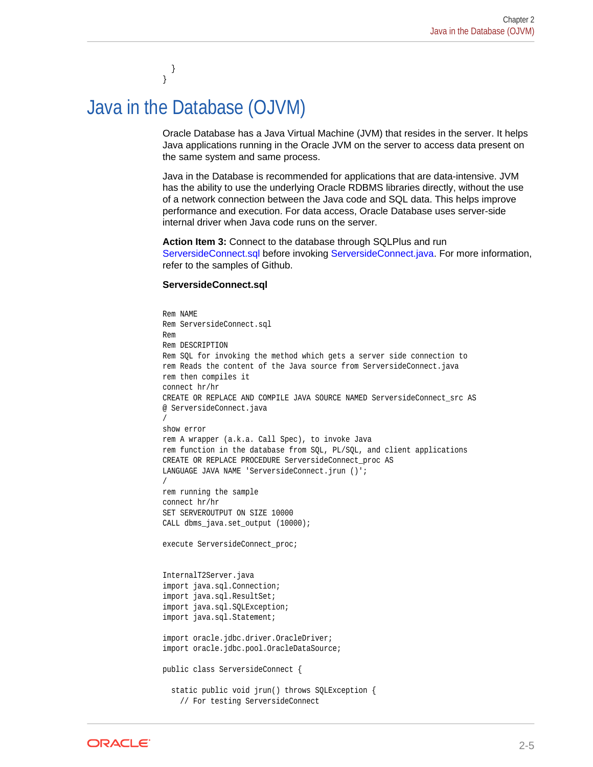} }

## <span id="page-14-0"></span>Java in the Database (OJVM)

Oracle Database has a Java Virtual Machine (JVM) that resides in the server. It helps Java applications running in the Oracle JVM on the server to access data present on the same system and same process.

Java in the Database is recommended for applications that are data-intensive. JVM has the ability to use the underlying Oracle RDBMS libraries directly, without the use of a network connection between the Java code and SQL data. This helps improve performance and execution. For data access, Oracle Database uses server-side internal driver when Java code runs on the server.

**Action Item 3:** Connect to the database through SQLPlus and run [ServersideConnect.sql](https://github.com/oracle/oracle-db-examples/blob/master/java/ojvm/ServersideConnect.sql) before invoking [ServersideConnect.java](https://github.com/oracle/oracle-db-examples/blob/master/java/ojvm/ServersideConnect.java). For more information, refer to the samples of Github.

#### **ServersideConnect.sql**

```
Rem NAME
Rem ServersideConnect.sql 
Rem
Rem DESCRIPTION
Rem SQL for invoking the method which gets a server side connection to
rem Reads the content of the Java source from ServersideConnect.java 
rem then compiles it 
connect hr/hr
CREATE OR REPLACE AND COMPILE JAVA SOURCE NAMED ServersideConnect_src AS
@ ServersideConnect.java
/
show error
rem A wrapper (a.k.a. Call Spec), to invoke Java
rem function in the database from SQL, PL/SQL, and client applications
CREATE OR REPLACE PROCEDURE ServersideConnect_proc AS 
LANGUAGE JAVA NAME 'ServersideConnect.jrun ()';
/
rem running the sample
connect hr/hr
SET SERVEROUTPUT ON SIZE 10000 
CALL dbms_java.set_output (10000);
execute ServersideConnect_proc;
InternalT2Server.java
import java.sql.Connection;
import java.sql.ResultSet;
import java.sql.SQLException;
import java.sql.Statement;
import oracle.jdbc.driver.OracleDriver;
import oracle.jdbc.pool.OracleDataSource;
public class ServersideConnect {
   static public void jrun() throws SQLException {
     // For testing ServersideConnect
```
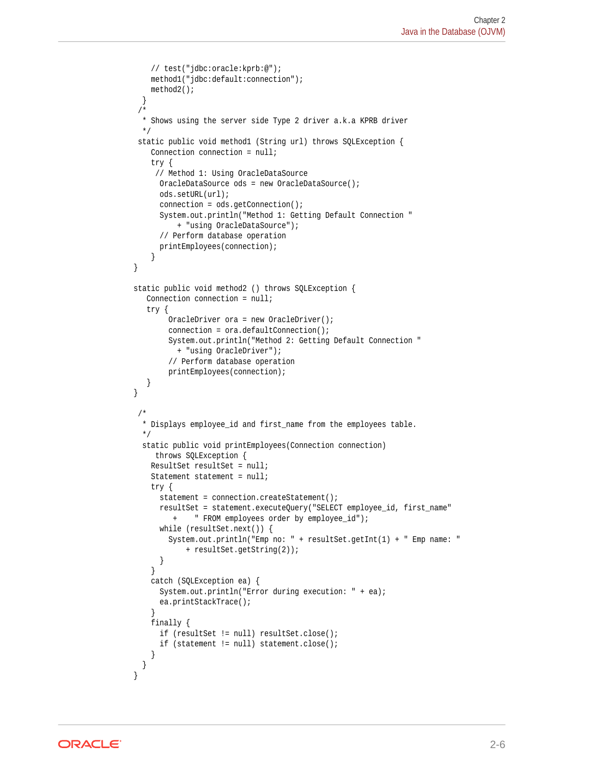```
 // test("jdbc:oracle:kprb:@");
     method1("jdbc:default:connection");
     method2();
 } 
  /*
   * Shows using the server side Type 2 driver a.k.a KPRB driver 
   */ 
  static public void method1 (String url) throws SQLException {
     Connection connection = null; 
     try {
      // Method 1: Using OracleDataSource
       OracleDataSource ods = new OracleDataSource();
       ods.setURL(url);
       connection = ods.getConnection();
       System.out.println("Method 1: Getting Default Connection "
           + "using OracleDataSource");
       // Perform database operation
       printEmployees(connection);
     }
}
static public void method2 () throws SQLException {
    Connection connection = null; 
    try {
         OracleDriver ora = new OracleDriver();
        connection = ora.defaultConnection();
         System.out.println("Method 2: Getting Default Connection "
           + "using OracleDriver");
         // Perform database operation
         printEmployees(connection);
    }
}
 /*
   * Displays employee_id and first_name from the employees table.
   */
   static public void printEmployees(Connection connection) 
      throws SQLException {
     ResultSet resultSet = null;
     Statement statement = null;
     try {
      statement = connection.createStatement();
       resultSet = statement.executeQuery("SELECT employee_id, first_name" 
          + " FROM employees order by employee_id");
       while (resultSet.next()) {
         System.out.println("Emp no: " + resultSet.getInt(1) + " Emp name: "
              + resultSet.getString(2));
       }
     }
     catch (SQLException ea) {
       System.out.println("Error during execution: " + ea);
       ea.printStackTrace();
\left\{\begin{array}{ccc} \end{array}\right\} finally {
       if (resultSet != null) resultSet.close();
       if (statement != null) statement.close(); 
\left\{\begin{array}{ccc} \end{array}\right\}\rightarrow}
```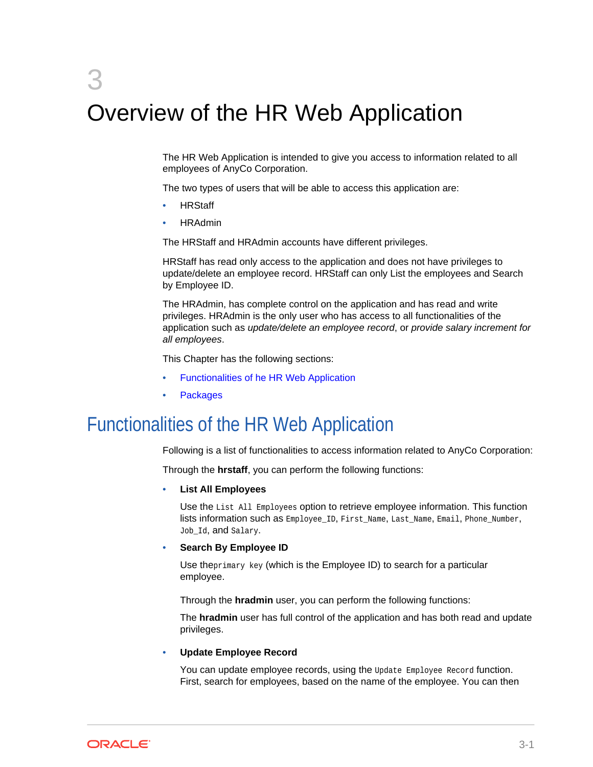# <span id="page-16-0"></span>3 Overview of the HR Web Application

The HR Web Application is intended to give you access to information related to all employees of AnyCo Corporation.

The two types of users that will be able to access this application are:

- HRStaff
- HRAdmin

The HRStaff and HRAdmin accounts have different privileges.

HRStaff has read only access to the application and does not have privileges to update/delete an employee record. HRStaff can only List the employees and Search by Employee ID.

The HRAdmin, has complete control on the application and has read and write privileges. HRAdmin is the only user who has access to all functionalities of the application such as *update/delete an employee record*, or *provide salary increment for all employees*.

This Chapter has the following sections:

- Functionalities of he HR Web Application
- **[Packages](#page-8-0)**

## Functionalities of the HR Web Application

Following is a list of functionalities to access information related to AnyCo Corporation:

Through the **hrstaff**, you can perform the following functions:

• **List All Employees**

Use the List All Employees option to retrieve employee information. This function lists information such as Employee\_ID, First\_Name, Last\_Name, Email, Phone\_Number, Job\_Id, and Salary.

**Search By Employee ID** 

Use theprimary key (which is the Employee ID) to search for a particular employee.

Through the **hradmin** user, you can perform the following functions:

The **hradmin** user has full control of the application and has both read and update privileges.

#### • **Update Employee Record**

You can update employee records, using the Update Employee Record function. First, search for employees, based on the name of the employee. You can then

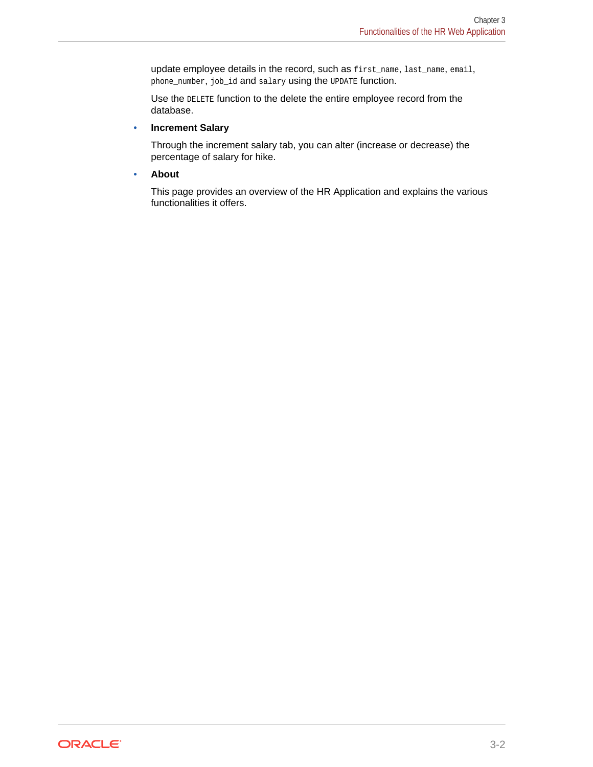update employee details in the record, such as first\_name, last\_name, email, phone\_number, job\_id and salary using the UPDATE function.

Use the DELETE function to the delete the entire employee record from the database.

#### • **Increment Salary**

Through the increment salary tab, you can alter (increase or decrease) the percentage of salary for hike.

#### • **About**

This page provides an overview of the HR Application and explains the various functionalities it offers.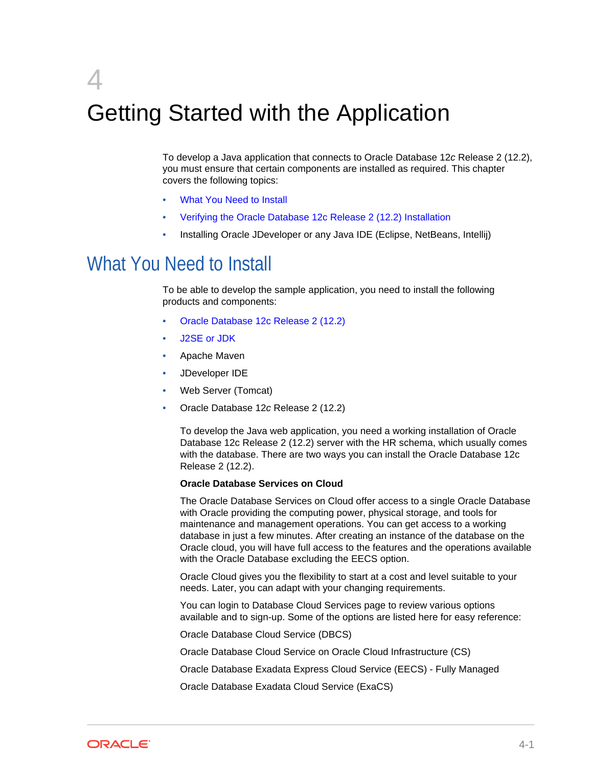# <span id="page-18-0"></span>4 Getting Started with the Application

To develop a Java application that connects to Oracle Database 12*c* Release 2 (12.2), you must ensure that certain components are installed as required. This chapter covers the following topics:

- What You Need to Install
- [Verifying the Oracle Database 12c Release 2 \(12.2\) Installation](#page-22-0)
- Installing Oracle JDeveloper or any Java IDE (Eclipse, NetBeans, Intellij)

### What You Need to Install

To be able to develop the sample application, you need to install the following products and components:

- [Oracle Database 12c Release 2 \(12.2\)](#page-19-0)
- [J2SE or JDK](#page-21-0)
- Apache Maven
- JDeveloper IDE
- Web Server (Tomcat)
- Oracle Database 12*c* Release 2 (12.2)

To develop the Java web application, you need a working installation of Oracle Database 12c Release 2 (12.2) server with the HR schema, which usually comes with the database. There are two ways you can install the Oracle Database 12c Release 2 (12.2).

#### **Oracle Database Services on Cloud**

The Oracle Database Services on Cloud offer access to a single Oracle Database with Oracle providing the computing power, physical storage, and tools for maintenance and management operations. You can get access to a working database in just a few minutes. After creating an instance of the database on the Oracle cloud, you will have full access to the features and the operations available with the Oracle Database excluding the EECS option.

Oracle Cloud gives you the flexibility to start at a cost and level suitable to your needs. Later, you can adapt with your changing requirements.

You can login to Database Cloud Services page to review various options available and to sign-up. Some of the options are listed here for easy reference:

Oracle Database Cloud Service (DBCS)

Oracle Database Cloud Service on Oracle Cloud Infrastructure (CS)

Oracle Database Exadata Express Cloud Service (EECS) - Fully Managed

Oracle Database Exadata Cloud Service (ExaCS)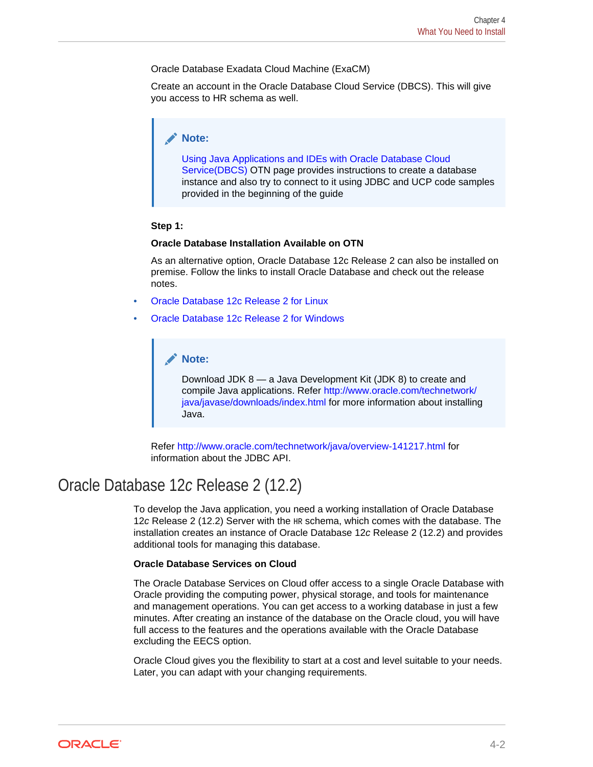<span id="page-19-0"></span>Oracle Database Exadata Cloud Machine (ExaCM)

Create an account in the Oracle Database Cloud Service (DBCS). This will give you access to HR schema as well.

**Note:** [Using Java Applications and IDEs with Oracle Database Cloud](http://www.oracle.com/technetwork/database/application-development/jdbc/documentation/default-3396167.html) [Service\(DBCS\)](http://www.oracle.com/technetwork/database/application-development/jdbc/documentation/default-3396167.html) OTN page provides instructions to create a database instance and also try to connect to it using JDBC and UCP code samples provided in the beginning of the guide

#### **Step 1:**

#### **Oracle Database Installation Available on OTN**

As an alternative option, Oracle Database 12c Release 2 can also be installed on premise. Follow the links to install Oracle Database and check out the release notes.

- [Oracle Database 12c Release 2 for Linux](http://www.oracle.com/technetwork/database/enterprise-edition/downloads/oracle12c-linux-12201-3608234.html)
- [Oracle Database 12c Release 2 for Windows](http://www.oracle.com/technetwork/database/enterprise-edition/downloads/oracle12c-windows-3633015.html)

#### **Note:**

Download JDK 8 — a Java Development Kit (JDK 8) to create and compile Java applications. Refer [http://www.oracle.com/technetwork/](http://www.oracle.com/technetwork/java/javase/downloads/index.html) [java/javase/downloads/index.html](http://www.oracle.com/technetwork/java/javase/downloads/index.html) for more information about installing Java.

Refer<http://www.oracle.com/technetwork/java/overview-141217.html> for information about the JDBC API.

### Oracle Database 12*c* Release 2 (12.2)

To develop the Java application, you need a working installation of Oracle Database 12*c* Release 2 (12.2) Server with the HR schema, which comes with the database. The installation creates an instance of Oracle Database 12*c* Release 2 (12.2) and provides additional tools for managing this database.

#### **Oracle Database Services on Cloud**

The Oracle Database Services on Cloud offer access to a single Oracle Database with Oracle providing the computing power, physical storage, and tools for maintenance and management operations. You can get access to a working database in just a few minutes. After creating an instance of the database on the Oracle cloud, you will have full access to the features and the operations available with the Oracle Database excluding the EECS option.

Oracle Cloud gives you the flexibility to start at a cost and level suitable to your needs. Later, you can adapt with your changing requirements.

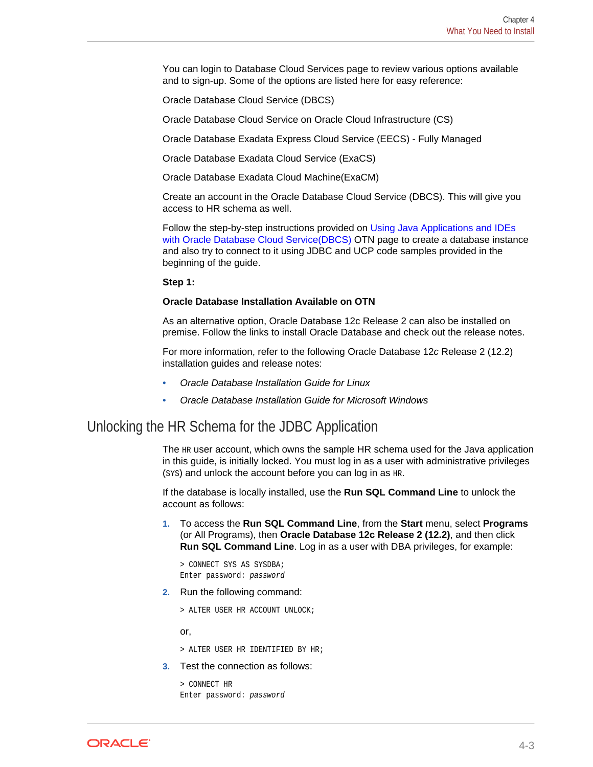<span id="page-20-0"></span>You can login to Database Cloud Services page to review various options available and to sign-up. Some of the options are listed here for easy reference:

Oracle Database Cloud Service (DBCS)

Oracle Database Cloud Service on Oracle Cloud Infrastructure (CS)

Oracle Database Exadata Express Cloud Service (EECS) - Fully Managed

Oracle Database Exadata Cloud Service (ExaCS)

Oracle Database Exadata Cloud Machine(ExaCM)

Create an account in the Oracle Database Cloud Service (DBCS). This will give you access to HR schema as well.

Follow the step-by-step instructions provided on [Using Java Applications and IDEs](http://www.oracle.com/technetwork/database/application-development/jdbc/documentation/default-3396167.html) [with Oracle Database Cloud Service\(DBCS\)](http://www.oracle.com/technetwork/database/application-development/jdbc/documentation/default-3396167.html) OTN page to create a database instance and also try to connect to it using JDBC and UCP code samples provided in the beginning of the guide.

**Step 1:**

#### **Oracle Database Installation Available on OTN**

As an alternative option, Oracle Database 12c Release 2 can also be installed on premise. Follow the links to install Oracle Database and check out the release notes.

For more information, refer to the following Oracle Database 12*c* Release 2 (12.2) installation guides and release notes:

- *Oracle Database Installation Guide for Linux*
- *Oracle Database Installation Guide for Microsoft Windows*

### Unlocking the HR Schema for the JDBC Application

The HR user account, which owns the sample HR schema used for the Java application in this guide, is initially locked. You must log in as a user with administrative privileges (SYS) and unlock the account before you can log in as HR.

If the database is locally installed, use the **Run SQL Command Line** to unlock the account as follows:

**1.** To access the **Run SQL Command Line**, from the **Start** menu, select **Programs** (or All Programs), then **Oracle Database 12c Release 2 (12.2)**, and then click **Run SQL Command Line**. Log in as a user with DBA privileges, for example:

> CONNECT SYS AS SYSDBA; Enter password: password

**2.** Run the following command:

> ALTER USER HR ACCOUNT UNLOCK;

or,

- > ALTER USER HR IDENTIFIED BY HR;
- **3.** Test the connection as follows:

```
> CONNECT HR
Enter password: password
```
ORACLE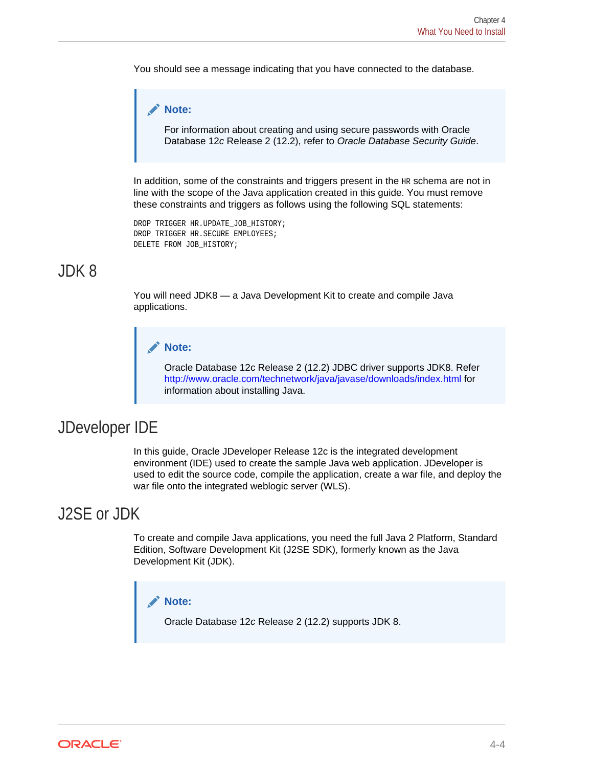<span id="page-21-0"></span>You should see a message indicating that you have connected to the database.

**Note:** For information about creating and using secure passwords with Oracle Database 12*c* Release 2 (12.2), refer to *Oracle Database Security Guide*.

In addition, some of the constraints and triggers present in the  $HR$  schema are not in line with the scope of the Java application created in this guide. You must remove these constraints and triggers as follows using the following SQL statements:

```
DROP TRIGGER HR.UPDATE_JOB_HISTORY;
DROP TRIGGER HR.SECURE_EMPLOYEES;
DELETE FROM JOB_HISTORY;
```
### JDK 8

You will need JDK8 — a Java Development Kit to create and compile Java applications.

### **Note:**

Oracle Database 12c Release 2 (12.2) JDBC driver supports JDK8. Refer <http://www.oracle.com/technetwork/java/javase/downloads/index.html>for information about installing Java.

### JDeveloper IDE

In this guide, Oracle JDeveloper Release 12c is the integrated development environment (IDE) used to create the sample Java web application. JDeveloper is used to edit the source code, compile the application, create a war file, and deploy the war file onto the integrated weblogic server (WLS).

### J2SE or JDK

To create and compile Java applications, you need the full Java 2 Platform, Standard Edition, Software Development Kit (J2SE SDK), formerly known as the Java Development Kit (JDK).



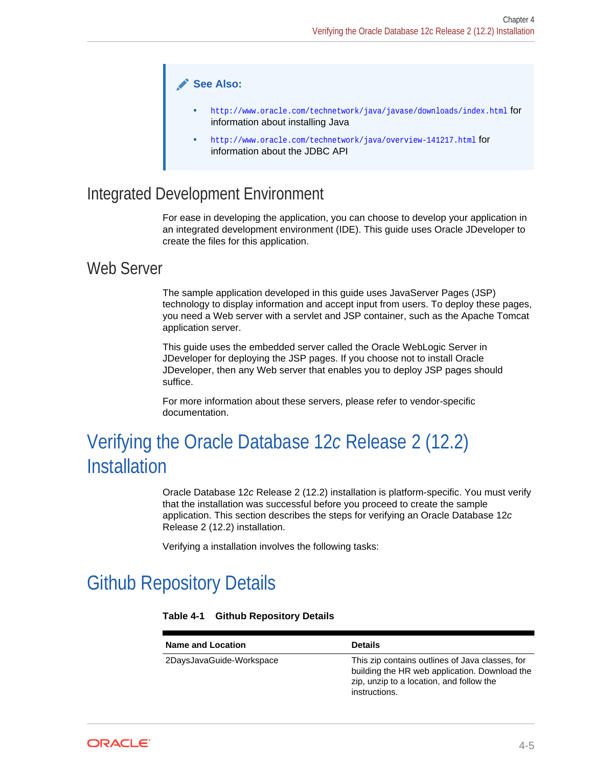<span id="page-22-0"></span>**See Also:**

- <http://www.oracle.com/technetwork/java/javase/downloads/index.html> for information about installing Java
- <http://www.oracle.com/technetwork/java/overview-141217.html> for information about the JDBC API

### Integrated Development Environment

For ease in developing the application, you can choose to develop your application in an integrated development environment (IDE). This guide uses Oracle JDeveloper to create the files for this application.

### Web Server

The sample application developed in this guide uses JavaServer Pages (JSP) technology to display information and accept input from users. To deploy these pages, you need a Web server with a servlet and JSP container, such as the Apache Tomcat application server.

This guide uses the embedded server called the Oracle WebLogic Server in JDeveloper for deploying the JSP pages. If you choose not to install Oracle JDeveloper, then any Web server that enables you to deploy JSP pages should suffice.

For more information about these servers, please refer to vendor-specific documentation.

# Verifying the Oracle Database 12*c* Release 2 (12.2) **Installation**

Oracle Database 12*c* Release 2 (12.2) installation is platform-specific. You must verify that the installation was successful before you proceed to create the sample application. This section describes the steps for verifying an Oracle Database 12*c* Release 2 (12.2) installation.

Verifying a installation involves the following tasks:

# Github Repository Details

#### **Table 4-1 Github Repository Details**

| Name and Location        | <b>Details</b>                                                                                                                                                |
|--------------------------|---------------------------------------------------------------------------------------------------------------------------------------------------------------|
| 2DaysJavaGuide-Workspace | This zip contains outlines of Java classes, for<br>building the HR web application. Download the<br>zip, unzip to a location, and follow the<br>instructions. |

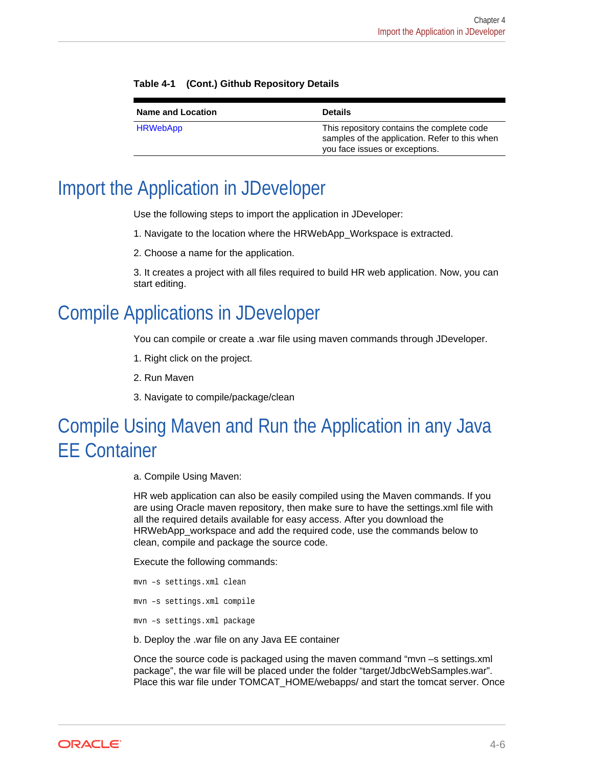<span id="page-23-0"></span>

|  |  |  | Table 4-1 (Cont.) Github Repository Details |  |
|--|--|--|---------------------------------------------|--|
|--|--|--|---------------------------------------------|--|

| Name and Location | <b>Details</b>                                                                                                                 |
|-------------------|--------------------------------------------------------------------------------------------------------------------------------|
| <b>HRWebApp</b>   | This repository contains the complete code<br>samples of the application. Refer to this when<br>you face issues or exceptions. |

### Import the Application in JDeveloper

Use the following steps to import the application in JDeveloper:

- 1. Navigate to the location where the HRWebApp\_Workspace is extracted.
- 2. Choose a name for the application.

3. It creates a project with all files required to build HR web application. Now, you can start editing.

## Compile Applications in JDeveloper

You can compile or create a .war file using maven commands through JDeveloper.

- 1. Right click on the project.
- 2. Run Maven
- 3. Navigate to compile/package/clean

# Compile Using Maven and Run the Application in any Java EE Container

a. Compile Using Maven:

HR web application can also be easily compiled using the Maven commands. If you are using Oracle maven repository, then make sure to have the settings.xml file with all the required details available for easy access. After you download the HRWebApp\_workspace and add the required code, use the commands below to clean, compile and package the source code.

Execute the following commands:

```
mvn –s settings.xml clean
mvn –s settings.xml compile
mvn –s settings.xml package
```
b. Deploy the .war file on any Java EE container

Once the source code is packaged using the maven command "mvn –s settings.xml package", the war file will be placed under the folder "target/JdbcWebSamples.war". Place this war file under TOMCAT\_HOME/webapps/ and start the tomcat server. Once

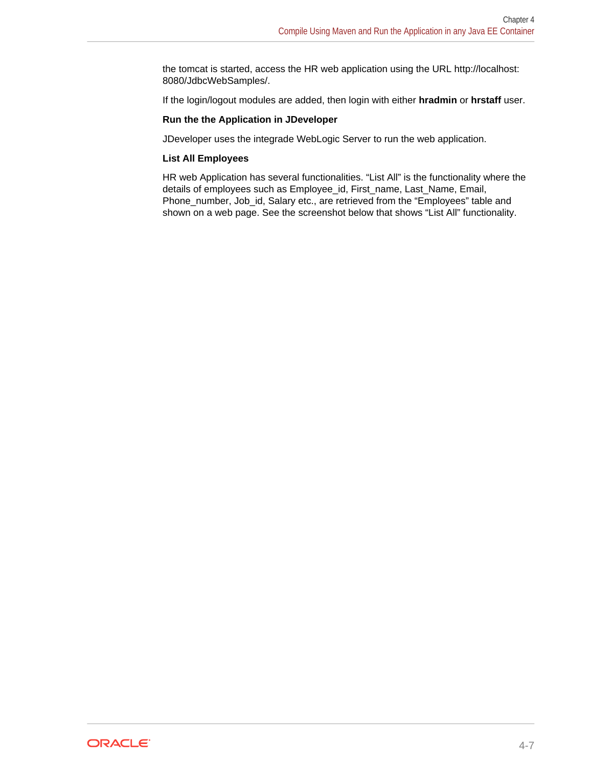the tomcat is started, access the HR web application using the URL http://localhost: 8080/JdbcWebSamples/.

If the login/logout modules are added, then login with either **hradmin** or **hrstaff** user.

#### **Run the the Application in JDeveloper**

JDeveloper uses the integrade WebLogic Server to run the web application.

#### **List All Employees**

HR web Application has several functionalities. "List All" is the functionality where the details of employees such as Employee\_id, First\_name, Last\_Name, Email, Phone\_number, Job\_id, Salary etc., are retrieved from the "Employees" table and shown on a web page. See the screenshot below that shows "List All" functionality.

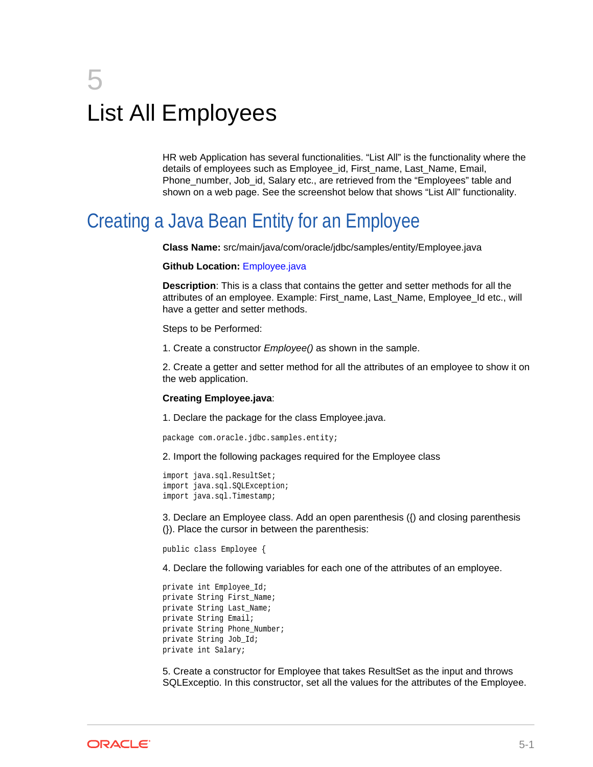# <span id="page-25-0"></span>5 List All Employees

HR web Application has several functionalities. "List All" is the functionality where the details of employees such as Employee\_id, First\_name, Last\_Name, Email, Phone\_number, Job\_id, Salary etc., are retrieved from the "Employees" table and shown on a web page. See the screenshot below that shows "List All" functionality.

### Creating a Java Bean Entity for an Employee

**Class Name:** src/main/java/com/oracle/jdbc/samples/entity/Employee.java

#### **Github Location:** [Employee.java](https://github.com/oracle/oracle-db-examples/blob/master/java/HRWebApp/src/main/java/com/oracle/jdbc/samples/entity/Employee.java)

**Description**: This is a class that contains the getter and setter methods for all the attributes of an employee. Example: First\_name, Last\_Name, Employee\_Id etc., will have a getter and setter methods.

Steps to be Performed:

1. Create a constructor *Employee()* as shown in the sample.

2. Create a getter and setter method for all the attributes of an employee to show it on the web application.

#### **Creating Employee.java**:

1. Declare the package for the class Employee.java.

package com.oracle.jdbc.samples.entity;

2. Import the following packages required for the Employee class

import java.sql.ResultSet; import java.sql.SQLException; import java.sql.Timestamp;

3. Declare an Employee class. Add an open parenthesis ({) and closing parenthesis (}). Place the cursor in between the parenthesis:

public class Employee {

4. Declare the following variables for each one of the attributes of an employee.

private int Employee\_Id; private String First\_Name; private String Last\_Name; private String Email; private String Phone\_Number; private String Job\_Id; private int Salary;

5. Create a constructor for Employee that takes ResultSet as the input and throws SQLExceptio. In this constructor, set all the values for the attributes of the Employee.

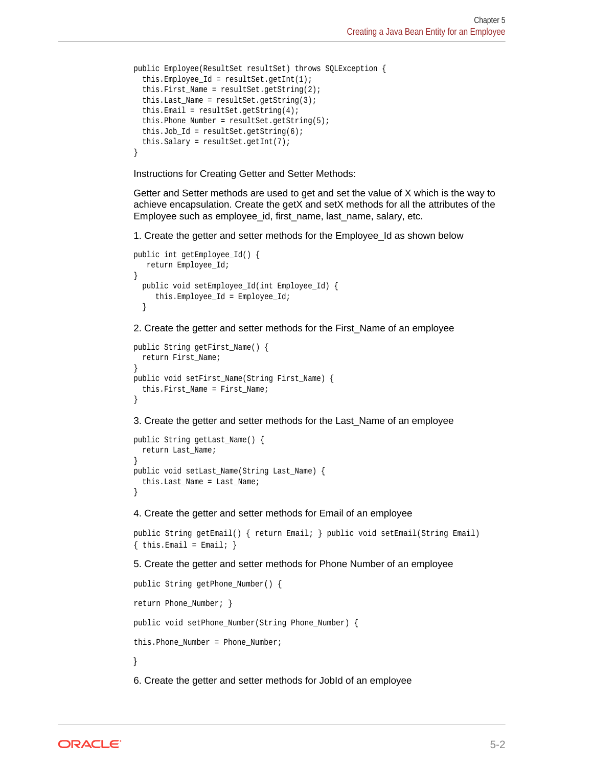```
public Employee(ResultSet resultSet) throws SQLException {
  this.Employee_Id = resultSet.getInt(1);
   this.First_Name = resultSet.getString(2);
   this.Last_Name = resultSet.getString(3);
   this.Email = resultSet.getString(4);
   this.Phone_Number = resultSet.getString(5);
   this.Job_Id = resultSet.getString(6);
   this.Salary = resultSet.getInt(7);
}
```
Instructions for Creating Getter and Setter Methods:

Getter and Setter methods are used to get and set the value of X which is the way to achieve encapsulation. Create the getX and setX methods for all the attributes of the Employee such as employee id, first name, last name, salary, etc.

1. Create the getter and setter methods for the Employee\_Id as shown below

```
public int getEmployee_Id() {
    return Employee_Id;
}
   public void setEmployee_Id(int Employee_Id) {
      this.Employee_Id = Employee_Id;
   }
```
2. Create the getter and setter methods for the First\_Name of an employee

```
public String getFirst_Name() {
   return First_Name;
}
public void setFirst_Name(String First_Name) {
  this.First Name = First Name;
}
```
3. Create the getter and setter methods for the Last\_Name of an employee

```
public String getLast_Name() {
  return Last_Name;
}
public void setLast_Name(String Last_Name) {
   this.Last_Name = Last_Name;
}
```
4. Create the getter and setter methods for Email of an employee

```
public String getEmail() { return Email; } public void setEmail(String Email)
\{ this.Fmail = Email; \}
```
5. Create the getter and setter methods for Phone Number of an employee

```
public String getPhone_Number() {
return Phone_Number; }
public void setPhone_Number(String Phone_Number) {
this.Phone Number = Phone Number;
}
```
6. Create the getter and setter methods for JobId of an employee

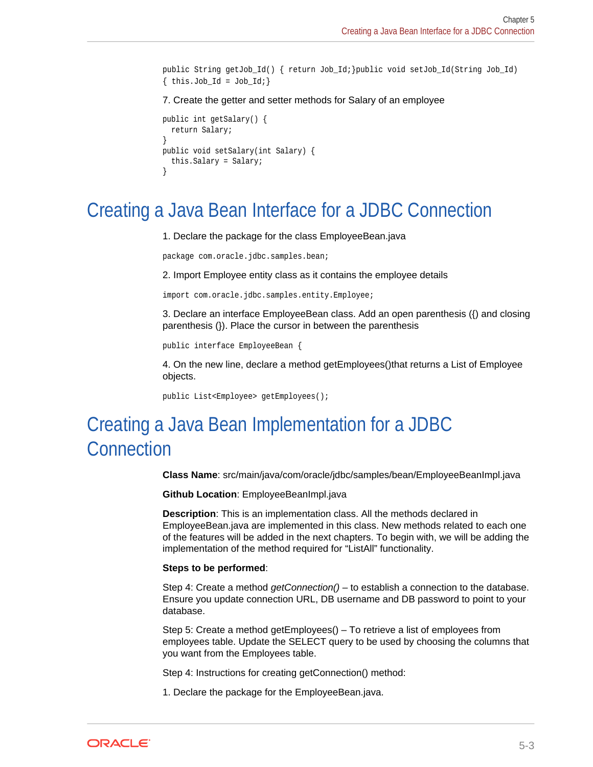```
public String getJob_Id() { return Job_Id;}public void setJob_Id(String Job_Id)
\{ this.JobId = JobId;\}
```
7. Create the getter and setter methods for Salary of an employee

```
public int getSalary() {
  return Salary;
}
public void setSalary(int Salary) {
   this.Salary = Salary;
}
```
## Creating a Java Bean Interface for a JDBC Connection

1. Declare the package for the class EmployeeBean.java

package com.oracle.jdbc.samples.bean;

2. Import Employee entity class as it contains the employee details

import com.oracle.jdbc.samples.entity.Employee;

3. Declare an interface EmployeeBean class. Add an open parenthesis ({) and closing parenthesis (}). Place the cursor in between the parenthesis

public interface EmployeeBean {

4. On the new line, declare a method getEmployees()that returns a List of Employee objects.

public List<Employee> getEmployees();

# Creating a Java Bean Implementation for a JDBC **Connection**

**Class Name**: src/main/java/com/oracle/jdbc/samples/bean/EmployeeBeanImpl.java

**Github Location**: EmployeeBeanImpl.java

**Description**: This is an implementation class. All the methods declared in EmployeeBean.java are implemented in this class. New methods related to each one of the features will be added in the next chapters. To begin with, we will be adding the implementation of the method required for "ListAll" functionality.

#### **Steps to be performed**:

Step 4: Create a method *getConnection()* – to establish a connection to the database. Ensure you update connection URL, DB username and DB password to point to your database.

Step 5: Create a method getEmployees() – To retrieve a list of employees from employees table. Update the SELECT query to be used by choosing the columns that you want from the Employees table.

Step 4: Instructions for creating getConnection() method:

1. Declare the package for the EmployeeBean.java.

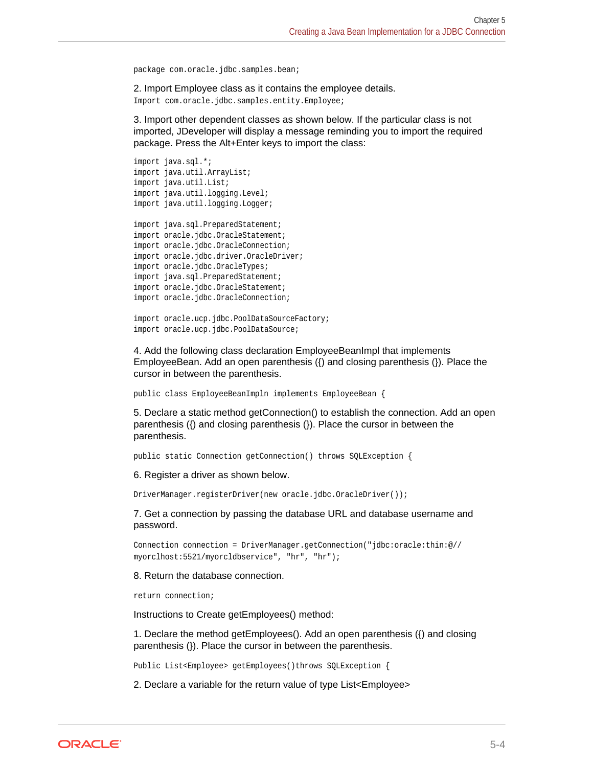package com.oracle.jdbc.samples.bean;

2. Import Employee class as it contains the employee details. Import com.oracle.jdbc.samples.entity.Employee;

3. Import other dependent classes as shown below. If the particular class is not imported, JDeveloper will display a message reminding you to import the required package. Press the Alt+Enter keys to import the class:

```
import java.sql.*;
import java.util.ArrayList;
import java.util.List;
import java.util.logging.Level;
import java.util.logging.Logger;
```
import java.sql.PreparedStatement; import oracle.jdbc.OracleStatement; import oracle.jdbc.OracleConnection; import oracle.jdbc.driver.OracleDriver; import oracle.jdbc.OracleTypes; import java.sql.PreparedStatement; import oracle.jdbc.OracleStatement; import oracle.jdbc.OracleConnection;

```
import oracle.ucp.jdbc.PoolDataSourceFactory;
import oracle.ucp.jdbc.PoolDataSource;
```
4. Add the following class declaration EmployeeBeanImpl that implements EmployeeBean. Add an open parenthesis ({) and closing parenthesis (}). Place the cursor in between the parenthesis.

public class EmployeeBeanImpln implements EmployeeBean {

5. Declare a static method getConnection() to establish the connection. Add an open parenthesis ({) and closing parenthesis (}). Place the cursor in between the parenthesis.

public static Connection getConnection() throws SQLException {

6. Register a driver as shown below.

DriverManager.registerDriver(new oracle.jdbc.OracleDriver());

7. Get a connection by passing the database URL and database username and password.

Connection connection = DriverManager.getConnection("jdbc:oracle:thin:@// myorclhost:5521/myorcldbservice", "hr", "hr");

8. Return the database connection.

return connection;

Instructions to Create getEmployees() method:

1. Declare the method getEmployees(). Add an open parenthesis ({) and closing parenthesis (}). Place the cursor in between the parenthesis.

Public List<Employee> getEmployees()throws SQLException {

2. Declare a variable for the return value of type List<Employee>

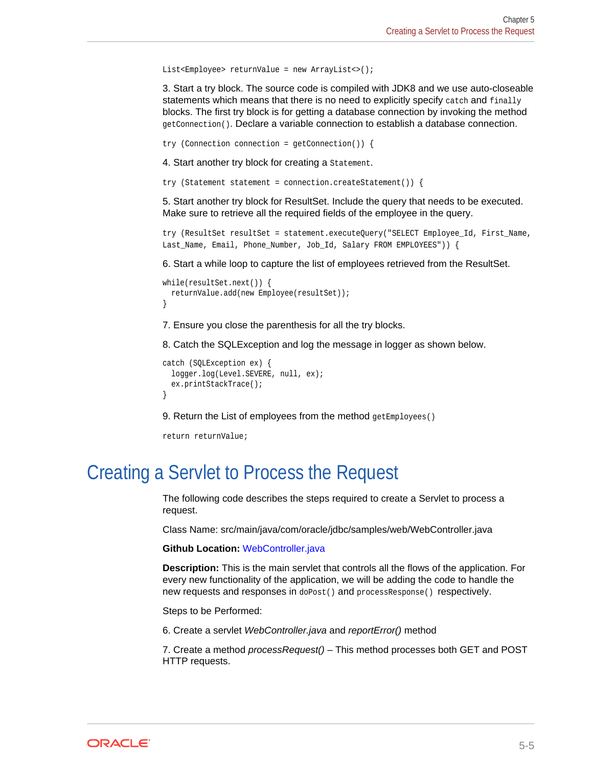```
List<Employee> returnValue = new ArrayList<>();
```
3. Start a try block. The source code is compiled with JDK8 and we use auto-closeable statements which means that there is no need to explicitly specify catch and finally blocks. The first try block is for getting a database connection by invoking the method getConnection(). Declare a variable connection to establish a database connection.

```
try (Connection connection = getConnection()) {
```
4. Start another try block for creating a Statement.

try (Statement statement = connection.createStatement()) {

5. Start another try block for ResultSet. Include the query that needs to be executed. Make sure to retrieve all the required fields of the employee in the query.

```
try (ResultSet resultSet = statement.executeQuery("SELECT Employee_Id, First_Name,
Last_Name, Email, Phone_Number, Job_Id, Salary FROM EMPLOYEES")) {
```
6. Start a while loop to capture the list of employees retrieved from the ResultSet.

```
while(resultSet.next()) {
  returnValue.add(new Employee(resultSet));
}
```
7. Ensure you close the parenthesis for all the try blocks.

8. Catch the SQLException and log the message in logger as shown below.

```
catch (SQLException ex) {
   logger.log(Level.SEVERE, null, ex);
   ex.printStackTrace();
}
```
9. Return the List of employees from the method getEmployees()

return returnValue;

## Creating a Servlet to Process the Request

The following code describes the steps required to create a Servlet to process a request.

Class Name: src/main/java/com/oracle/jdbc/samples/web/WebController.java

#### **Github Location:** [WebController.java](https://github.com/oracle/oracle-db-examples/blob/master/java/HRWebApp/src/main/java/com/oracle/jdbc/samples/web/WebController.java)

**Description:** This is the main servlet that controls all the flows of the application. For every new functionality of the application, we will be adding the code to handle the new requests and responses in doPost() and processResponse() respectively.

Steps to be Performed:

6. Create a servlet *WebController.java* and *reportError()* method

7. Create a method *processRequest()* – This method processes both GET and POST HTTP requests.

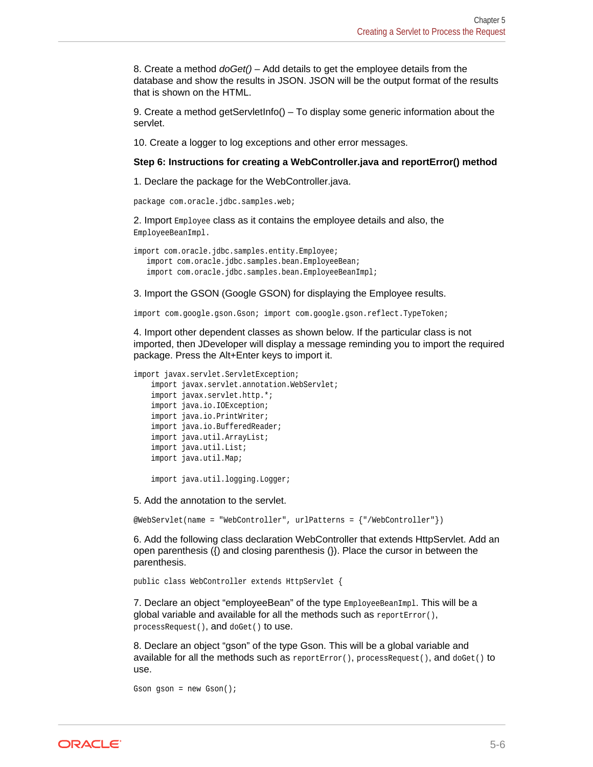8. Create a method *doGet() –* Add details to get the employee details from the database and show the results in JSON. JSON will be the output format of the results that is shown on the HTML.

9. Create a method getServletInfo() – To display some generic information about the servlet.

10. Create a logger to log exceptions and other error messages.

#### **Step 6: Instructions for creating a WebController.java and reportError() method**

1. Declare the package for the WebController.java.

package com.oracle.jdbc.samples.web;

2. Import Employee class as it contains the employee details and also, the EmployeeBeanImpl.

```
import com.oracle.jdbc.samples.entity.Employee;
   import com.oracle.jdbc.samples.bean.EmployeeBean;
   import com.oracle.jdbc.samples.bean.EmployeeBeanImpl;
```
3. Import the GSON (Google GSON) for displaying the Employee results.

import com.google.gson.Gson; import com.google.gson.reflect.TypeToken;

4. Import other dependent classes as shown below. If the particular class is not imported, then JDeveloper will display a message reminding you to import the required package. Press the Alt+Enter keys to import it.

import javax.servlet.ServletException;

```
 import javax.servlet.annotation.WebServlet;
 import javax.servlet.http.*;
 import java.io.IOException;
 import java.io.PrintWriter;
 import java.io.BufferedReader;
 import java.util.ArrayList;
 import java.util.List;
 import java.util.Map;
```
import java.util.logging.Logger;

5. Add the annotation to the servlet.

@WebServlet(name = "WebController", urlPatterns = {"/WebController"})

6. Add the following class declaration WebController that extends HttpServlet. Add an open parenthesis ({) and closing parenthesis (}). Place the cursor in between the parenthesis.

public class WebController extends HttpServlet {

7. Declare an object "employeeBean" of the type  $\text{EmployeeBeanImpl}$ . This will be a global variable and available for all the methods such as  $\text{reportError}()$ , processRequest(), and doGet() to use.

8. Declare an object "gson" of the type Gson. This will be a global variable and available for all the methods such as reportError(), processRequest(), and doGet() to use.

```
Gson gson = new Gson();
```
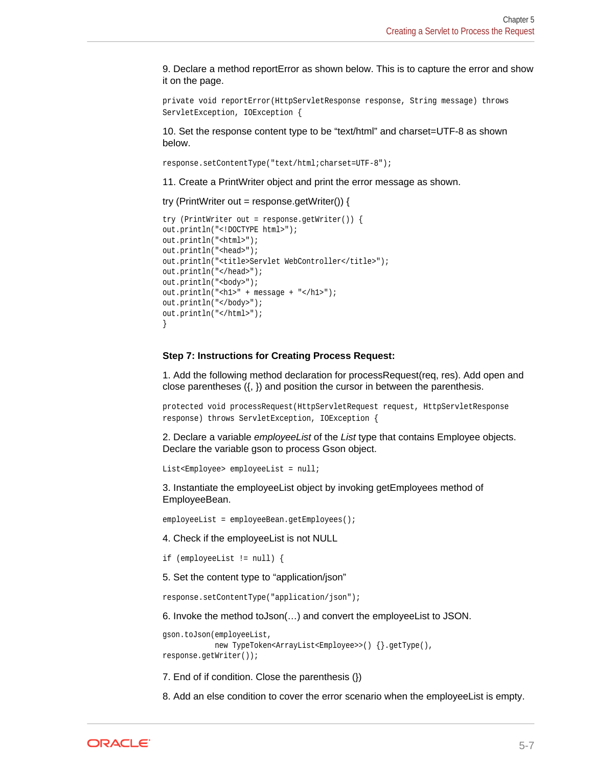9. Declare a method reportError as shown below. This is to capture the error and show it on the page.

private void reportError(HttpServletResponse response, String message) throws ServletException, IOException {

10. Set the response content type to be "text/html" and charset=UTF-8 as shown below.

response.setContentType("text/html;charset=UTF-8");

11. Create a PrintWriter object and print the error message as shown.

try (PrintWriter out = response.getWriter()) {

```
try (PrintWriter out = response.getWriter()) { 
out.println("<!DOCTYPE html>"); 
out.println("<html>"); 
out.println("<head>"); 
out.println("<title>Servlet WebController</title>");
out.println("</head>"); 
out.println("<br/>body>");
out.println("<h1>" + message + "</h1>");
out.println("</body>"); 
out.println("</html>"); 
}
```
#### **Step 7: Instructions for Creating Process Request:**

1. Add the following method declaration for processRequest(req, res). Add open and close parentheses ({, }) and position the cursor in between the parenthesis.

protected void processRequest(HttpServletRequest request, HttpServletResponse response) throws ServletException, IOException {

2. Declare a variable *employeeList* of the *List* type that contains Employee objects. Declare the variable gson to process Gson object.

List<Employee> employeeList = null;

3. Instantiate the employeeList object by invoking getEmployees method of EmployeeBean.

employeeList = employeeBean.getEmployees();

4. Check if the employeeList is not NULL

```
if (employeeList != null) {
```
5. Set the content type to "application/json"

response.setContentType("application/json");

6. Invoke the method toJson(…) and convert the employeeList to JSON.

```
gson.toJson(employeeList,
            new TypeToken<ArrayList<Employee>>() {}.getType(),
response.getWriter());
```
7. End of if condition. Close the parenthesis (})

8. Add an else condition to cover the error scenario when the employeeList is empty.

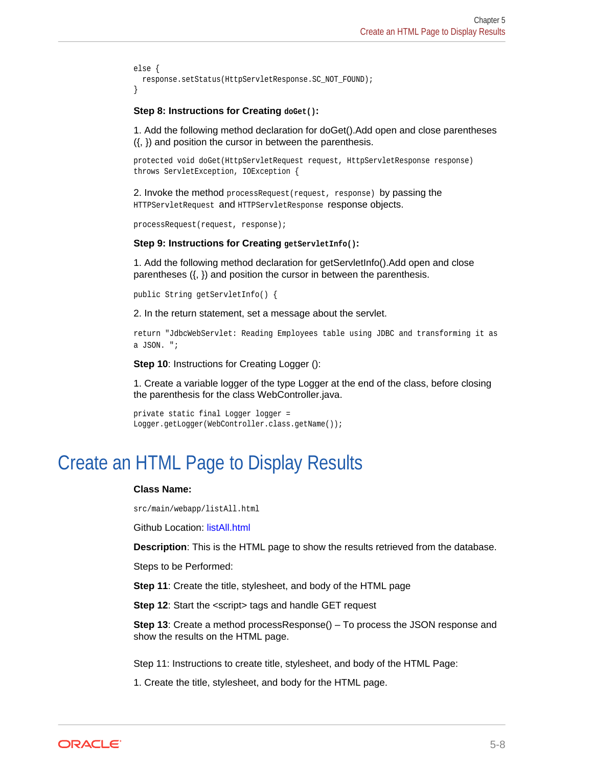```
else {
   response.setStatus(HttpServletResponse.SC_NOT_FOUND);
}
```
#### **Step 8: Instructions for Creating doGet():**

1. Add the following method declaration for doGet().Add open and close parentheses ({, }) and position the cursor in between the parenthesis.

protected void doGet(HttpServletRequest request, HttpServletResponse response) throws ServletException, IOException {

2. Invoke the method processRequest(request, response) by passing the HTTPServletRequest and HTTPServletResponse response objects.

```
processRequest(request, response);
```
#### **Step 9: Instructions for Creating getServletInfo():**

1. Add the following method declaration for getServletInfo().Add open and close parentheses ({, }) and position the cursor in between the parenthesis.

public String getServletInfo() {

2. In the return statement, set a message about the servlet.

return "JdbcWebServlet: Reading Employees table using JDBC and transforming it as a JSON. ";

**Step 10:** Instructions for Creating Logger ():

1. Create a variable logger of the type Logger at the end of the class, before closing the parenthesis for the class WebController.java.

```
private static final Logger logger = 
Logger.getLogger(WebController.class.getName());
```
### Create an HTML Page to Display Results

#### **Class Name:**

src/main/webapp/listAll.html

Github Location: [listAll.html](https://github.com/oracle/oracle-db-examples/blob/master/java/HRWebApp/src/main/webapp/listAll.html)

**Description**: This is the HTML page to show the results retrieved from the database.

Steps to be Performed:

**Step 11**: Create the title, stylesheet, and body of the HTML page

**Step 12:** Start the <script> tags and handle GET request

**Step 13**: Create a method processResponse() – To process the JSON response and show the results on the HTML page.

Step 11: Instructions to create title, stylesheet, and body of the HTML Page:

1. Create the title, stylesheet, and body for the HTML page.

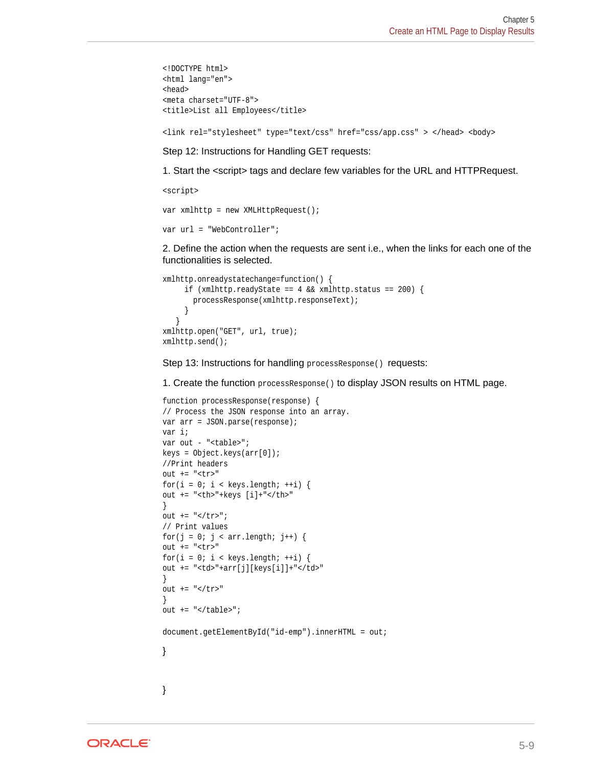```
<!DOCTYPE html>
<html lang="en">
<head>
<meta charset="UTF-8">
<title>List all Employees</title>
```
<link rel="stylesheet" type="text/css" href="css/app.css" > </head> <body>

Step 12: Instructions for Handling GET requests:

1. Start the <script> tags and declare few variables for the URL and HTTPRequest.

<script>

```
var xmlhttp = new XMLHttpRequest();
var url = "WebController";
```
2. Define the action when the requests are sent i.e., when the links for each one of the functionalities is selected.

```
xmlhttp.onreadystatechange=function() {
     if (xmlhttp.readyState == 4 \&x xmlhttp.status == 200) {
        processResponse(xmlhttp.responseText);
      }
\rightarrowxmlhttp.open("GET", url, true);
xmlhttp.send();
```
Step 13: Instructions for handling processResponse() requests:

1. Create the function processResponse() to display JSON results on HTML page.

```
function processResponse(response) {
// Process the JSON response into an array. 
var arr = JSON.parse(response);
var i;
var out - "<table>";
keys = Object.keys(arr[0]);
//Print headers
out += "<tr>"
for(i = 0; i < keys.length; ++i) {
out += "<th>"+keys [i]+"</th>"
}
out += "\lt/tr>";
// Print values
for(j = 0; j < arr.length; j++) {
out += "\tt <i>tr</i>"
for(i = 0; i < keys.length; ++i) {
out += "<td>"+arr[j][keys[i]]+"</td>"
}
out += "\lt/\tan^{-1}}
out += "</table>";
document.getElementById("id-emp").innerHTML = out;
}
}
```
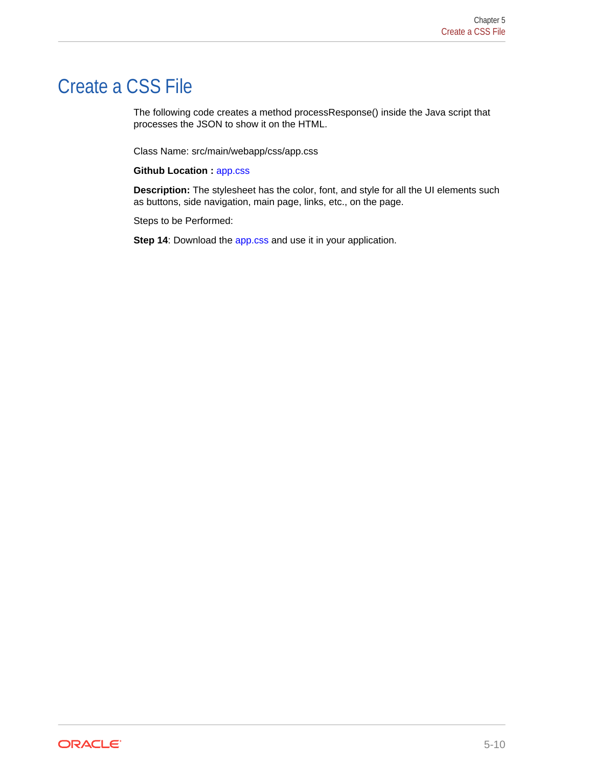## <span id="page-34-0"></span>Create a CSS File

The following code creates a method processResponse() inside the Java script that processes the JSON to show it on the HTML.

Class Name: src/main/webapp/css/app.css

**Github Location : [app.css](https://github.com/oracle/oracle-db-examples/blob/master/java/HRWebApp/src/main/webapp/css/app.css)** 

**Description:** The stylesheet has the color, font, and style for all the UI elements such as buttons, side navigation, main page, links, etc., on the page.

Steps to be Performed:

**Step 14**: Download the [app.css](https://github.com/oracle/oracle-db-examples/blob/master/java/HRWebApp/src/main/webapp/css/app.css) and use it in your application.

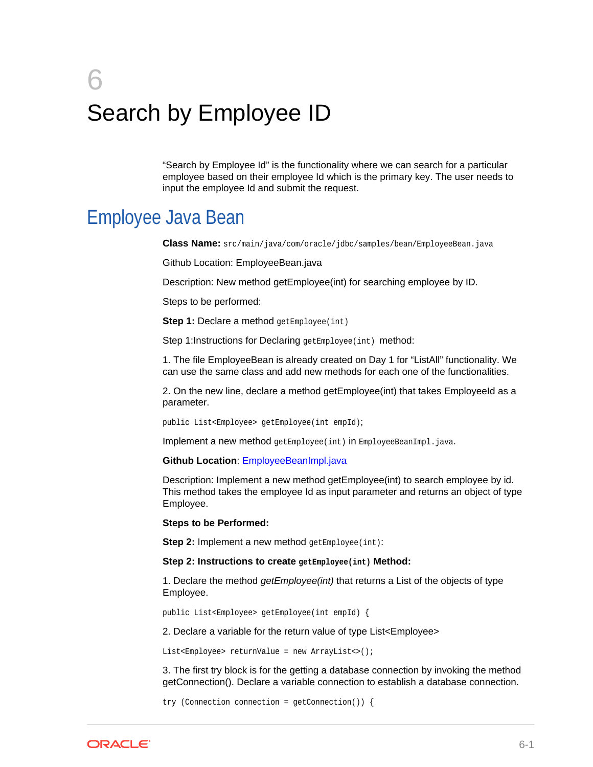# <span id="page-35-0"></span>6 Search by Employee ID

"Search by Employee Id" is the functionality where we can search for a particular employee based on their employee Id which is the primary key. The user needs to input the employee Id and submit the request.

## Employee Java Bean

**Class Name:** src/main/java/com/oracle/jdbc/samples/bean/EmployeeBean.java

Github Location: EmployeeBean.java

Description: New method getEmployee(int) for searching employee by ID.

Steps to be performed:

**Step 1:** Declare a method getEmployee(int)

Step 1:Instructions for Declaring getEmployee(int) method:

1. The file EmployeeBean is already created on Day 1 for "ListAll" functionality. We can use the same class and add new methods for each one of the functionalities.

2. On the new line, declare a method getEmployee(int) that takes EmployeeId as a parameter.

public List<Employee> getEmployee(int empId);

Implement a new method getEmployee(int) in EmployeeBeanImpl.java.

#### **Github Location**: [EmployeeBeanImpl.java](https://github.com/oracle/oracle-db-examples/blob/master/java/HRWebApp/src/main/java/com/oracle/jdbc/samples/bean/JdbcBeanImpl.java)

Description: Implement a new method getEmployee(int) to search employee by id. This method takes the employee Id as input parameter and returns an object of type Employee.

#### **Steps to be Performed:**

**Step 2:** Implement a new method getEmployee(int):

#### **Step 2: Instructions to create getEmployee(int) Method:**

1. Declare the method *getEmployee(int)* that returns a List of the objects of type Employee.

public List<Employee> getEmployee(int empId) {

2. Declare a variable for the return value of type List<Employee>

List<Employee> returnValue = new ArrayList<>();

3. The first try block is for the getting a database connection by invoking the method getConnection(). Declare a variable connection to establish a database connection.

```
try (Connection connection = getConnection()) {
```
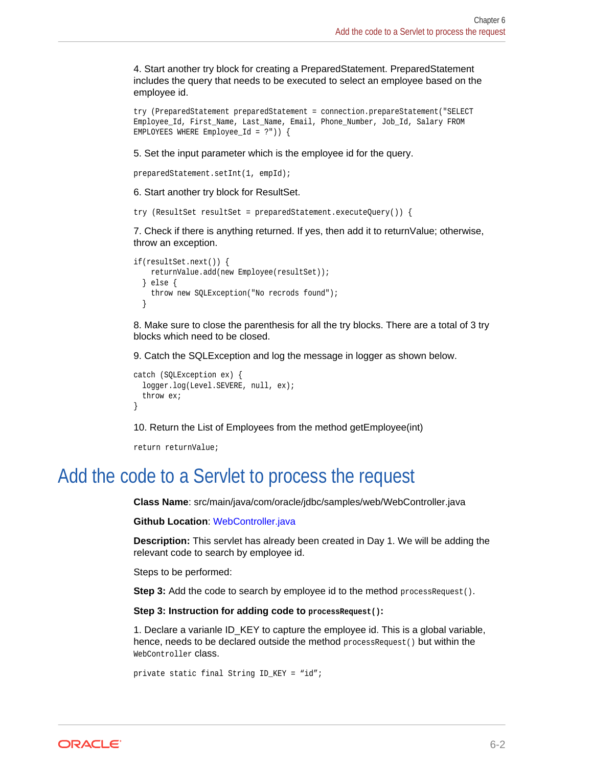<span id="page-36-0"></span>4. Start another try block for creating a PreparedStatement. PreparedStatement includes the query that needs to be executed to select an employee based on the employee id.

try (PreparedStatement preparedStatement = connection.prepareStatement("SELECT Employee\_Id, First\_Name, Last\_Name, Email, Phone\_Number, Job\_Id, Salary FROM EMPLOYEES WHERE Employee\_Id = ?")) {

5. Set the input parameter which is the employee id for the query.

```
preparedStatement.setInt(1, empId);
```
6. Start another try block for ResultSet.

```
try (ResultSet resultSet = preparedStatement.executeQuery()) {
```
7. Check if there is anything returned. If yes, then add it to returnValue; otherwise, throw an exception.

```
if(resultSet.next()) {
     returnValue.add(new Employee(resultSet));
   } else {
     throw new SQLException("No recrods found");
\vert
```
8. Make sure to close the parenthesis for all the try blocks. There are a total of 3 try blocks which need to be closed.

9. Catch the SQLException and log the message in logger as shown below.

```
catch (SQLException ex) {
   logger.log(Level.SEVERE, null, ex);
   throw ex;
}
```
10. Return the List of Employees from the method getEmployee(int)

return returnValue;

### Add the code to a Servlet to process the request

**Class Name**: src/main/java/com/oracle/jdbc/samples/web/WebController.java

**Github Location**: [WebController.java](https://github.com/oracle/oracle-db-examples/blob/master/java/HRWebApp/src/main/java/com/oracle/jdbc/samples/web/WebController.java)

**Description:** This servlet has already been created in Day 1. We will be adding the relevant code to search by employee id.

Steps to be performed:

**Step 3:** Add the code to search by employee id to the method processRequest().

**Step 3: Instruction for adding code to processRequest():**

1. Declare a varianle ID KEY to capture the employee id. This is a global variable, hence, needs to be declared outside the method  $\beta$  process Request() but within the WebController class.

private static final String ID\_KEY = "id";

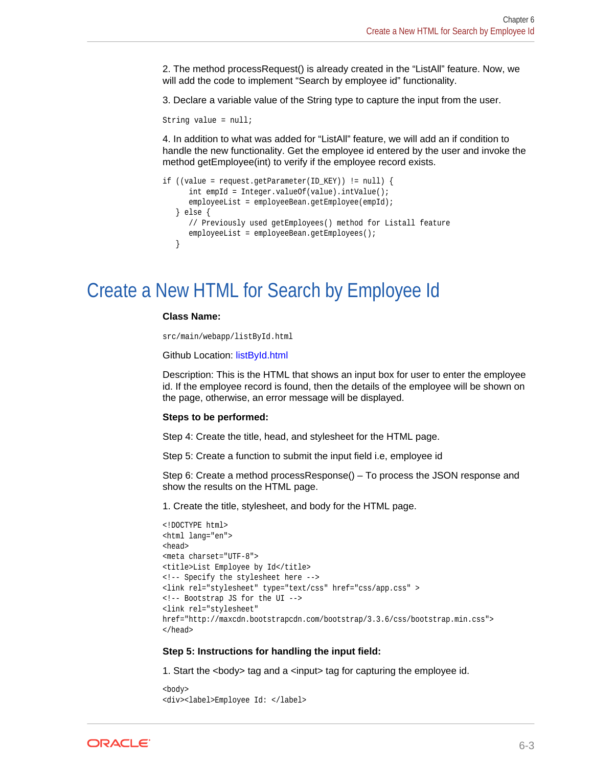<span id="page-37-0"></span>2. The method processRequest() is already created in the "ListAll" feature. Now, we will add the code to implement "Search by employee id" functionality.

3. Declare a variable value of the String type to capture the input from the user.

```
String value = null;
```
4. In addition to what was added for "ListAll" feature, we will add an if condition to handle the new functionality. Get the employee id entered by the user and invoke the method getEmployee(int) to verify if the employee record exists.

```
if ((value = request.getParameter(ID_KEY)) != null) {
       int empId = Integer.valueOf(value).intValue();
      employeeList = employeeBean.getEmployee(empId);
    } else { 
       // Previously used getEmployees() method for Listall feature
       employeeList = employeeBean.getEmployees();
    }
```
### Create a New HTML for Search by Employee Id

#### **Class Name:**

src/main/webapp/listById.html

Github Location: [listById.html](https://github.com/oracle/oracle-db-examples/blob/master/java/HRWebApp/src/main/webapp/listById.html)

Description: This is the HTML that shows an input box for user to enter the employee id. If the employee record is found, then the details of the employee will be shown on the page, otherwise, an error message will be displayed.

#### **Steps to be performed:**

Step 4: Create the title, head, and stylesheet for the HTML page.

Step 5: Create a function to submit the input field i.e, employee id

Step 6: Create a method processResponse() – To process the JSON response and show the results on the HTML page.

1. Create the title, stylesheet, and body for the HTML page.

```
<!DOCTYPE html>
<html lang="en">
<head>
<meta charset="UTF-8">
<title>List Employee by Id</title>
<!-- Specify the stylesheet here -->
<link rel="stylesheet" type="text/css" href="css/app.css" >
<!-- Bootstrap JS for the UI -->
<link rel="stylesheet" 
href="http://maxcdn.bootstrapcdn.com/bootstrap/3.3.6/css/bootstrap.min.css">
</head>
```
#### **Step 5: Instructions for handling the input field:**

1. Start the <body> tag and a <input> tag for capturing the employee id.

```
<body>
<div><label>Employee Id: </label>
```
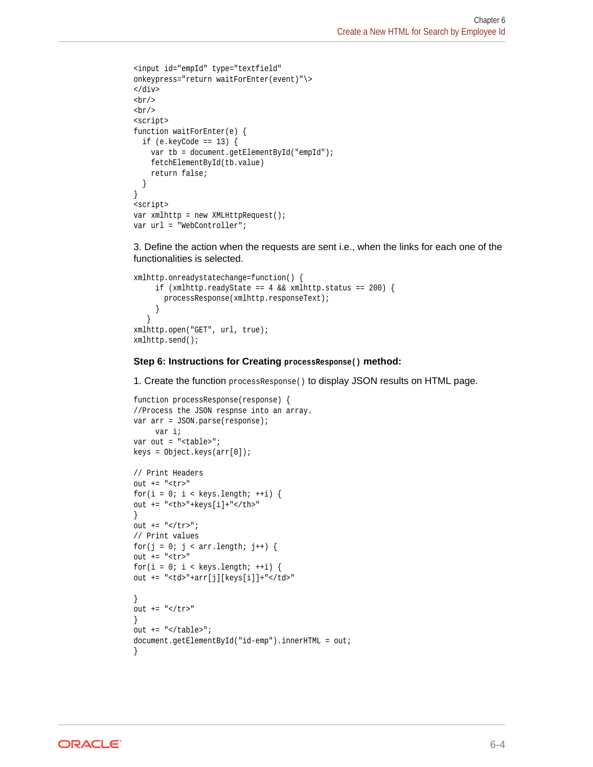```
<input id="empId" type="textfield"
onkeypress="return waitForEnter(event)"\>
</div>
br/br/<script>
function waitForEnter(e) {
  if (e \cdot keyCode == 13) {
     var tb = document.getElementById("empId");
     fetchElementById(tb.value)
     return false;
   }
}
<script>
var xmlhttp = new XMLHttpRequest();
var url = "WebController";
```
3. Define the action when the requests are sent i.e., when the links for each one of the functionalities is selected.

```
xmlhttp.onreadystatechange=function() {
     if (xmlhttp.readyState == 4 \&x xmlhttp.status == 200) {
        processResponse(xmlhttp.responseText);
      }
    }
xmlhttp.open("GET", url, true);
xmlhttp.send();
```
#### **Step 6: Instructions for Creating processResponse() method:**

1. Create the function processResponse() to display JSON results on HTML page.

```
function processResponse(response) {
//Process the JSON respnse into an array.
var arr = JSON.parse(response);
      var i;
var out = "<table>";
keys = Object.keys(arr[0]);
// Print Headers
out += "<tr>"
for(i = 0; i < keys.length; ++i) {
out += "<th>"+keys[i]+"</th>"
}
out += "\lt/\text{tr}";
// Print values
for(j = 0; j < arr.length; j++) {
out += "<tr>"
for(i = 0; i < keys.length; ++i) {
out += "<td>"+arr[j][keys[i]]+"</td>"
}
out += "\lt/tr>"
}
out += "</table>";
document.getElementById("id-emp").innerHTML = out;
}
```
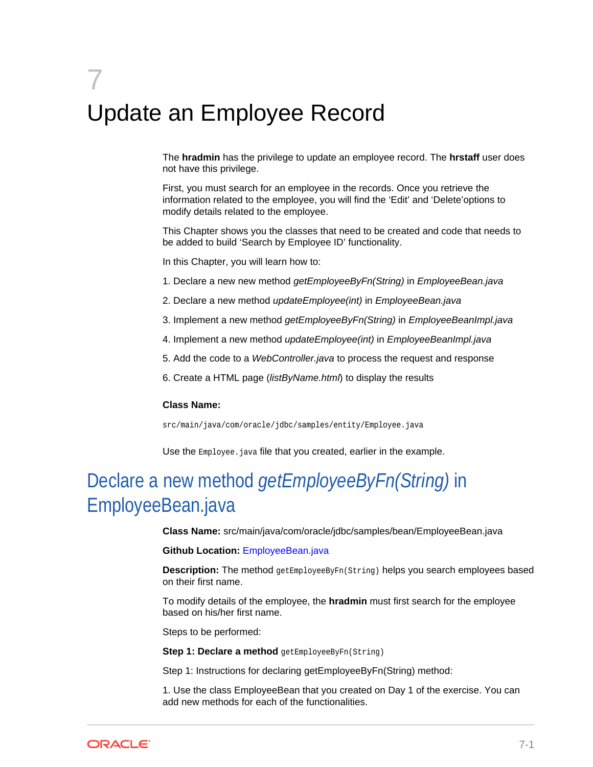# <span id="page-39-0"></span>7 Update an Employee Record

The **hradmin** has the privilege to update an employee record. The **hrstaff** user does not have this privilege.

First, you must search for an employee in the records. Once you retrieve the information related to the employee, you will find the 'Edit' and 'Delete'options to modify details related to the employee.

This Chapter shows you the classes that need to be created and code that needs to be added to build 'Search by Employee ID' functionality.

In this Chapter, you will learn how to:

- 1. Declare a new new method *getEmployeeByFn(String)* in *EmployeeBean.java*
- 2. Declare a new method *updateEmployee(int)* in *EmployeeBean.java*
- 3. Implement a new method *getEmployeeByFn(String)* in *EmployeeBeanImpl.java*
- 4. Implement a new method *updateEmployee(int)* in *EmployeeBeanImpl.java*
- 5. Add the code to a *WebController.java* to process the request and response
- 6. Create a HTML page (*listByName.html*) to display the results

#### **Class Name:**

src/main/java/com/oracle/jdbc/samples/entity/Employee.java

Use the Employee. java file that you created, earlier in the example.

# Declare a new method *getEmployeeByFn(String)* in EmployeeBean.java

**Class Name:** src/main/java/com/oracle/jdbc/samples/bean/EmployeeBean.java

#### **Github Location: [EmployeeBean.java](https://github.com/oracle/oracle-db-examples/blob/master/java/HRWebApp/src/main/java/com/oracle/jdbc/samples/bean/JdbcBean.java)**

**Description:** The method getEmployeeByFn(String) helps you search employees based on their first name.

To modify details of the employee, the **hradmin** must first search for the employee based on his/her first name.

Steps to be performed:

**Step 1: Declare a method** getEmployeeByFn(String)

Step 1: Instructions for declaring getEmployeeByFn(String) method:

1. Use the class EmployeeBean that you created on Day 1 of the exercise. You can add new methods for each of the functionalities.

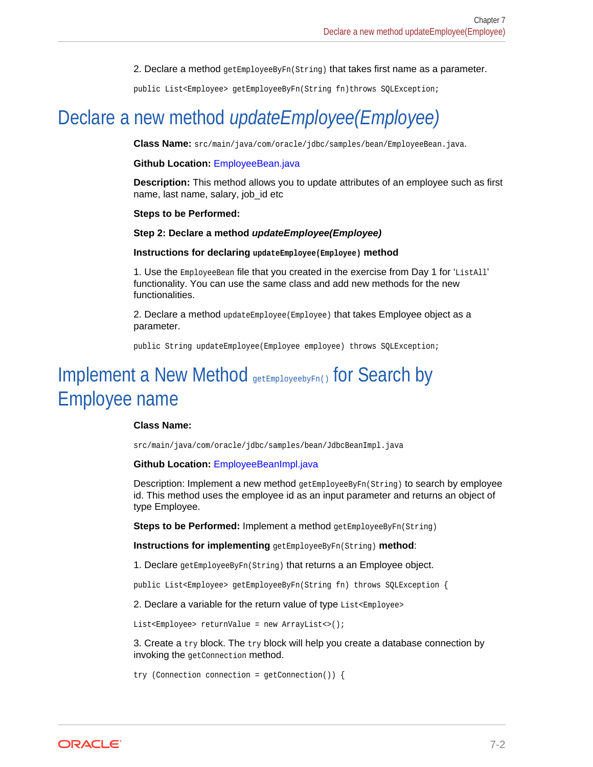2. Declare a method  $getEmployeeByFn(String)$  that takes first name as a parameter.

public List<Employee> getEmployeeByFn(String fn)throws SQLException;

# <span id="page-40-0"></span>Declare a new method *updateEmployee(Employee)*

**Class Name:** src/main/java/com/oracle/jdbc/samples/bean/EmployeeBean.java.

#### **Github Location:** [EmployeeBean.java](https://github.com/oracle/oracle-db-examples/blob/master/java/HRWebApp/src/main/java/com/oracle/jdbc/samples/bean/JdbcBean.java)

**Description:** This method allows you to update attributes of an employee such as first name, last name, salary, job\_id etc

#### **Steps to be Performed:**

**Step 2: Declare a method** *updateEmployee(Employee)*

#### **Instructions for declaring updateEmployee(Employee) method**

1. Use the EmployeeBean file that you created in the exercise from Day 1 for 'ListAll' functionality. You can use the same class and add new methods for the new functionalities.

2. Declare a method updateEmployee(Employee) that takes Employee object as a parameter.

public String updateEmployee(Employee employee) throws SQLException;

# Implement a New Method <sub>getEmployeebyFn()</sub> for Search by Employee name

#### **Class Name:**

src/main/java/com/oracle/jdbc/samples/bean/JdbcBeanImpl.java

#### **Github Location:** [EmployeeBeanImpl.java](https://github.com/oracle/oracle-db-examples/blob/master/java/HRWebApp/src/main/java/com/oracle/jdbc/samples/bean/JdbcBeanImpl.java)

Description: Implement a new method getEmployeeByFn(String) to search by employee id. This method uses the employee id as an input parameter and returns an object of type Employee.

**Steps to be Performed:** Implement a method getEmployeeByFn(String)

**Instructions for implementing** getEmployeeByFn(String) **method**:

1. Declare getEmployeeByFn(String) that returns a an Employee object.

public List<Employee> getEmployeeByFn(String fn) throws SQLException {

2. Declare a variable for the return value of type List<Employee>

List<Employee> returnValue = new ArrayList<>();

3. Create a  $\text{try}$  block. The  $\text{try}$  block will help you create a database connection by invoking the getConnection method.

try (Connection connection = getConnection()) {

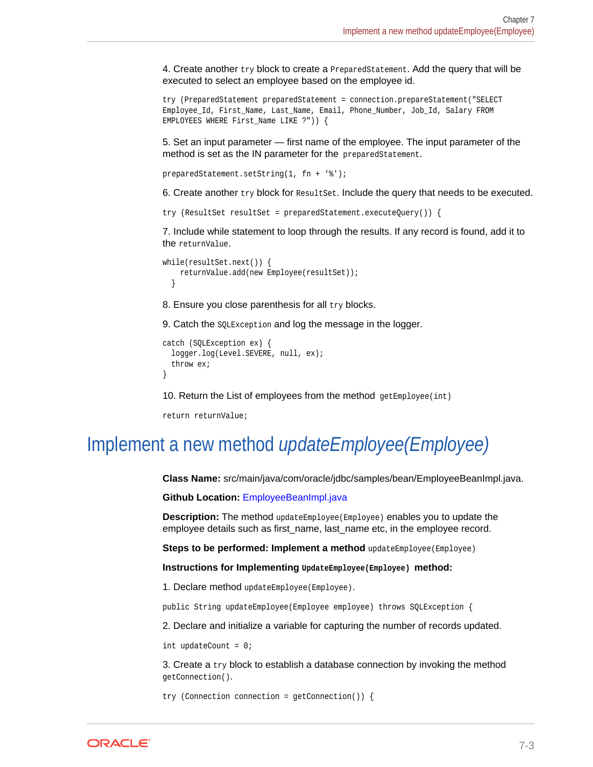<span id="page-41-0"></span>4. Create another try block to create a PreparedStatement. Add the query that will be executed to select an employee based on the employee id.

```
try (PreparedStatement preparedStatement = connection.prepareStatement("SELECT 
Employee_Id, First_Name, Last_Name, Email, Phone_Number, Job_Id, Salary FROM 
EMPLOYEES WHERE First_Name LIKE ?")) {
```
5. Set an input parameter — first name of the employee. The input parameter of the method is set as the IN parameter for the preparedStatement.

```
preparedStatement.setString(1, fn + '%');
```
6. Create another try block for Resultset. Include the query that needs to be executed.

try (ResultSet resultSet = preparedStatement.executeQuery()) {

7. Include while statement to loop through the results. If any record is found, add it to the returnValue.

```
while(resultSet.next()) {
     returnValue.add(new Employee(resultSet));
   }
```
8. Ensure you close parenthesis for all try blocks.

9. Catch the sQLException and log the message in the logger.

```
catch (SQLException ex) {
   logger.log(Level.SEVERE, null, ex);
   throw ex;
}
```
10. Return the List of employees from the method  $getEmplope(int)$ 

return returnValue;

### Implement a new method *updateEmployee(Employee)*

**Class Name:** src/main/java/com/oracle/jdbc/samples/bean/EmployeeBeanImpl.java.

**Github Location:** [EmployeeBeanImpl.java](https://github.com/oracle/oracle-db-examples/blob/master/java/HRWebApp/src/main/java/com/oracle/jdbc/samples/bean/JdbcBeanImpl.java)

**Description:** The method updateEmployee(Employee) enables you to update the employee details such as first\_name, last\_name etc, in the employee record.

**Steps to be performed: Implement a method** updateEmployee(Employee)

**Instructions for Implementing UpdateEmployee(Employee) method:** 

1. Declare method updateEmployee(Employee).

public String updateEmployee(Employee employee) throws SQLException {

2. Declare and initialize a variable for capturing the number of records updated.

int updateCount = 0;

3. Create a  $try$  block to establish a database connection by invoking the method getConnection().

```
try (Connection connection = getConnection()) {
```
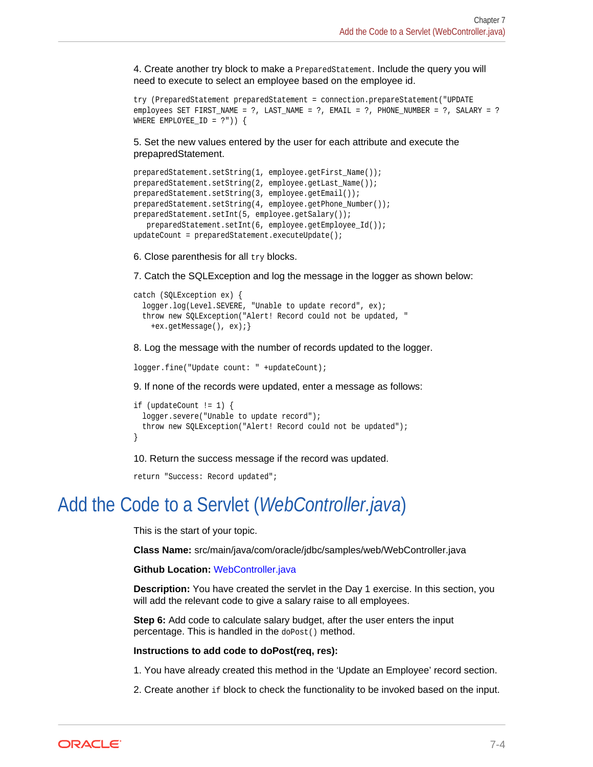<span id="page-42-0"></span>4. Create another try block to make a PreparedStatement. Include the query you will need to execute to select an employee based on the employee id.

```
try (PreparedStatement preparedStatement = connection.prepareStatement("UPDATE 
employees SET FIRST_NAME = ?, LAST_NAME = ?, EMAIL = ?, PHONE_NUMBER = ?, SALARY = ? 
WHERE EMPLOYEE_ID = ?") } {
```
5. Set the new values entered by the user for each attribute and execute the prepapredStatement.

```
preparedStatement.setString(1, employee.getFirst_Name());
preparedStatement.setString(2, employee.getLast_Name());
preparedStatement.setString(3, employee.getEmail());
preparedStatement.setString(4, employee.getPhone_Number());
preparedStatement.setInt(5, employee.getSalary());
    preparedStatement.setInt(6, employee.getEmployee_Id());
updateCount = preparedStatement.executeUpdate();
```
6. Close parenthesis for all try blocks.

7. Catch the SQLException and log the message in the logger as shown below:

```
catch (SQLException ex) {
   logger.log(Level.SEVERE, "Unable to update record", ex);
   throw new SQLException("Alert! Record could not be updated, "
     +ex.getMessage(), ex);}
```
8. Log the message with the number of records updated to the logger.

logger.fine("Update count: " +updateCount);

9. If none of the records were updated, enter a message as follows:

```
if (updateCount != 1) {
   logger.severe("Unable to update record");
   throw new SQLException("Alert! Record could not be updated");
}
```
10. Return the success message if the record was updated.

return "Success: Record updated";

### Add the Code to a Servlet (*WebController.java*)

This is the start of your topic.

**Class Name:** src/main/java/com/oracle/jdbc/samples/web/WebController.java

**Github Location:** [WebController.java](https://github.com/oracle/oracle-db-examples/blob/master/java/HRWebApp/src/main/java/com/oracle/jdbc/samples/web/WebController.java)

**Description:** You have created the servlet in the Day 1 exercise. In this section, you will add the relevant code to give a salary raise to all employees.

**Step 6:** Add code to calculate salary budget, after the user enters the input percentage. This is handled in the doPost() method.

#### **Instructions to add code to doPost(req, res):**

1. You have already created this method in the 'Update an Employee' record section.

2. Create another if block to check the functionality to be invoked based on the input.

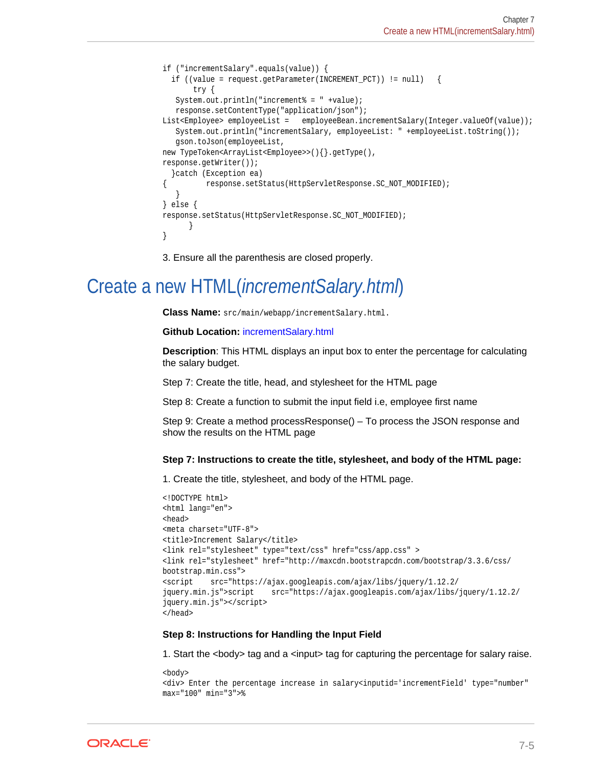```
if ("incrementSalary".equals(value)) {
   if ((value = request.getParameter(INCREMENT_PCT)) != null) {
        try {
  System.out.println("increment% = " +value);
   response.setContentType("application/json");
List<Employee> employeeList = employeeBean.incrementSalary(Integer.valueOf(value));
    System.out.println("incrementSalary, employeeList: " +employeeList.toString());
    gson.toJson(employeeList,
new TypeToken<ArrayList<Employee>>(){}.getType(),
response.getWriter());
   }catch (Exception ea) 
{ response.setStatus(HttpServletResponse.SC_NOT_MODIFIED);
\rightarrow} else { 
response.setStatus(HttpServletResponse.SC_NOT_MODIFIED);
       }
}
```
3. Ensure all the parenthesis are closed properly.

### Create a new HTML(*incrementSalary.html*)

**Class Name:** src/main/webapp/incrementSalary.html.

**Github Location:** [incrementSalary.html](https://github.com/oracle/oracle-db-examples/blob/master/java/HRWebApp/src/main/webapp/incrementSalary.html)

**Description**: This HTML displays an input box to enter the percentage for calculating the salary budget.

Step 7: Create the title, head, and stylesheet for the HTML page

Step 8: Create a function to submit the input field i.e, employee first name

Step 9: Create a method processResponse() – To process the JSON response and show the results on the HTML page

#### **Step 7: Instructions to create the title, stylesheet, and body of the HTML page:**

1. Create the title, stylesheet, and body of the HTML page.

```
<!DOCTYPE html>
<html lang="en">
<head>
<meta charset="UTF-8">
<title>Increment Salary</title>
<link rel="stylesheet" type="text/css" href="css/app.css" >
<link rel="stylesheet" href="http://maxcdn.bootstrapcdn.com/bootstrap/3.3.6/css/
bootstrap.min.css">
<script src="https://ajax.googleapis.com/ajax/libs/jquery/1.12.2/
jquery.min.js">script src="https://ajax.googleapis.com/ajax/libs/jquery/1.12.2/
jquery.min.js"></script>
</head>
```
#### **Step 8: Instructions for Handling the Input Field**

1. Start the  $\langle$ body> tag and a  $\langle$ input> tag for capturing the percentage for salary raise.

```
<body>
<div> Enter the percentage increase in salary<inputid='incrementField' type="number" 
max="100" min="3">%
```
ORACLE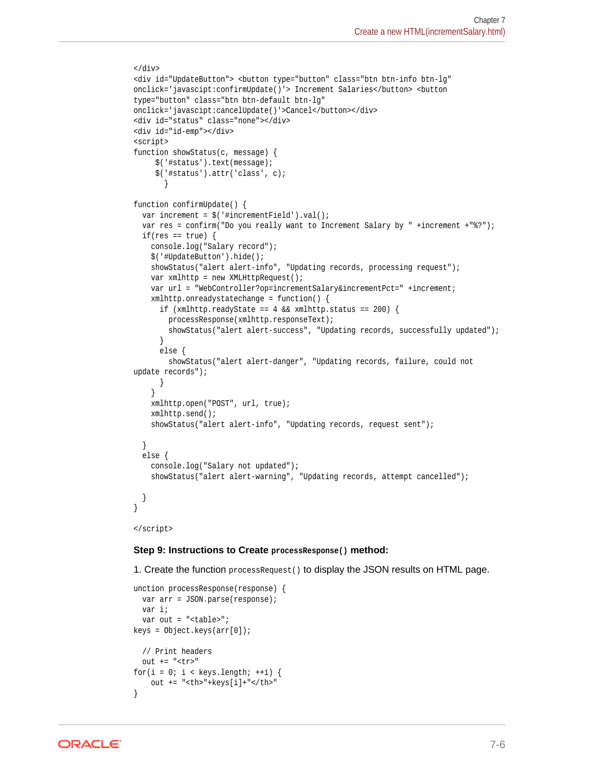```
</div>
<div id="UpdateButton"> <br/> <br/> <br/> <br/> <br/>thon" class="btn btn-info btn-lg"
onclick='javascipt:confirmUpdate()'> Increment Salaries</button> <button 
type="button" class="btn btn-default btn-lg" 
onclick='javascipt:cancelUpdate()'>Cancel</button></div>
<div id="status" class="none"></div>
<div id="id-emp"></div>
<script>
function showStatus(c, message) {
      $('#status').text(message);
      $('#status').attr('class', c);
 }
function confirmUpdate() {
   var increment = $('#incrementField').val();
   var res = confirm("Do you really want to Increment Salary by " +increment +"%?");
  if(res == true) {
     console.log("Salary record");
     $('#UpdateButton').hide();
     showStatus("alert alert-info", "Updating records, processing request");
    var xmlhttp = new XMLHttpRequest();
     var url = "WebController?op=incrementSalary&incrementPct=" +increment;
     xmlhttp.onreadystatechange = function() {
      if (xmlhttp.readyState == 4 \&x xmlhttp.status == 200) {
         processResponse(xmlhttp.responseText);
         showStatus("alert alert-success", "Updating records, successfully updated");
       }
       else {
         showStatus("alert alert-danger", "Updating records, failure, could not 
update records");
       }
\left\{\begin{array}{ccc} \end{array}\right\} xmlhttp.open("POST", url, true);
     xmlhttp.send();
     showStatus("alert alert-info", "Updating records, request sent");
\vert else {
     console.log("Salary not updated");
     showStatus("alert alert-warning", "Updating records, attempt cancelled");
\vert}
</script>
```
#### **Step 9: Instructions to Create processResponse() method:**

1. Create the function processRequest() to display the JSON results on HTML page.

```
unction processResponse(response) {
   var arr = JSON.parse(response);
   var i;
   var out = "<table>";
keys = Object.keys(arr[0]);
   // Print headers
  out += "<tr>"
for(i = 0; i < keys.length; ++i) {
     out += "<th>"+keys[i]+"</th>"
}
```
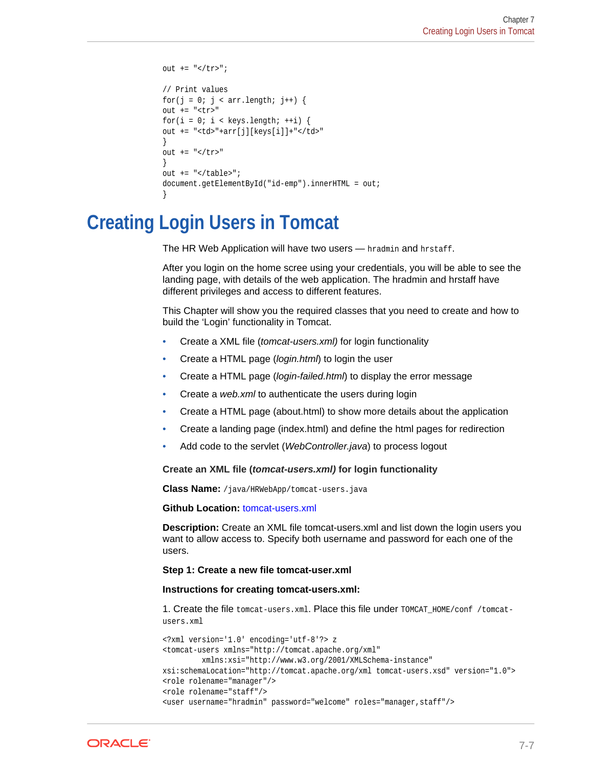```
out += "\lt/tr>";
// Print values
for(j = 0; j < arr.length; j++) {
out += "<tr>"
for(i = 0; i < keys.length; ++i) {
out += "<td>"+arr[j][keys[i]]+"</td>"
}
out += "</tr>"
}
out += "</table>";
document.getElementById("id-emp").innerHTML = out;
}
```
## **Creating Login Users in Tomcat**

The HR Web Application will have two users — hradmin and hrstaff.

After you login on the home scree using your credentials, you will be able to see the landing page, with details of the web application. The hradmin and hrstaff have different privileges and access to different features.

This Chapter will show you the required classes that you need to create and how to build the 'Login' functionality in Tomcat.

- Create a XML file (*tomcat-users.xml)* for login functionality
- Create a HTML page (*login.html*) to login the user
- Create a HTML page (*login-failed.html*) to display the error message
- Create a *web.xml* to authenticate the users during login
- Create a HTML page (about.html) to show more details about the application
- Create a landing page (index.html) and define the html pages for redirection
- Add code to the servlet (*WebController.java*) to process logout

**Create an XML file (***tomcat-users.xml)* **for login functionality**

**Class Name:** /java/HRWebApp/tomcat-users.java

**Github Location:** [tomcat-users.xml](https://github.com/oracle/oracle-db-examples/blob/master/java/HRWebApp/tomcat-users.xml)

**Description:** Create an XML file tomcat-users.xml and list down the login users you want to allow access to. Specify both username and password for each one of the users.

#### **Step 1: Create a new file tomcat-user.xml**

#### **Instructions for creating tomcat-users.xml:**

1. Create the file tomcat-users.xml. Place this file under TOMCAT\_HOME/conf /tomcatusers.xml

```
<?xml version='1.0' encoding='utf-8'?> z
<tomcat-users xmlns="http://tomcat.apache.org/xml"
          xmlns:xsi="http://www.w3.org/2001/XMLSchema-instance"
xsi:schemaLocation="http://tomcat.apache.org/xml tomcat-users.xsd" version="1.0">
<role rolename="manager"/>
<role rolename="staff"/>
<user username="hradmin" password="welcome" roles="manager,staff"/>
```
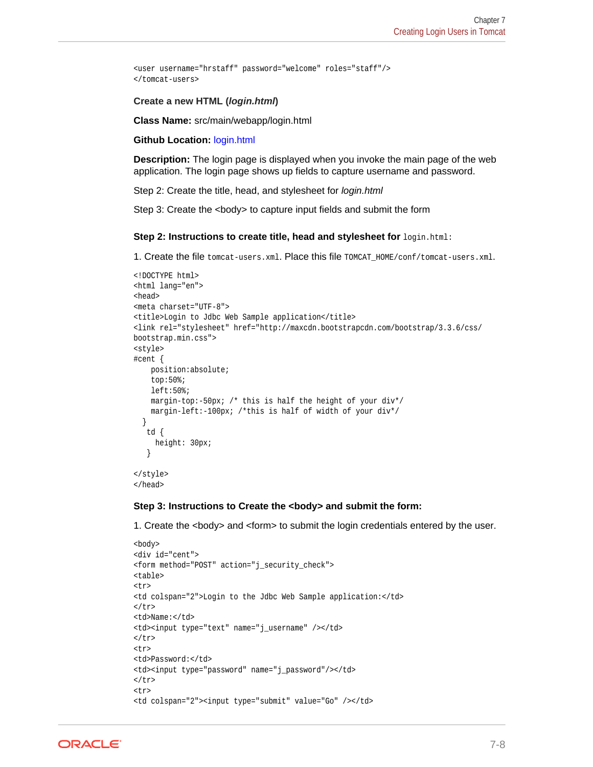```
<user username="hrstaff" password="welcome" roles="staff"/>
</tomcat-users>
```
**Create a new HTML (***login.html***)**

**Class Name:** src/main/webapp/login.html

**Github Location:** [login.html](https://github.com/oracle/oracle-db-examples/blob/master/java/HRWebApp/src/main/webapp/login.html)

**Description:** The login page is displayed when you invoke the main page of the web application. The login page shows up fields to capture username and password.

Step 2: Create the title, head, and stylesheet for *login.html*

Step 3: Create the <body> to capture input fields and submit the form

#### **Step 2: Instructions to create title, head and stylesheet for** login.html:

1. Create the file tomcat-users.xml. Place this file TOMCAT\_HOME/conf/tomcat-users.xml.

```
<!DOCTYPE html>
<html lang="en">
<head>
<meta charset="UTF-8">
<title>Login to Jdbc Web Sample application</title>
<link rel="stylesheet" href="http://maxcdn.bootstrapcdn.com/bootstrap/3.3.6/css/
bootstrap.min.css">
<style>
#cent {
    position:absolute;
     top:50%;
    left:50%;
    margin-top:-50px; /* this is half the height of your div*/
    margin-left:-100px; /*this is half of width of your div*/
   }
    td {
      height: 30px;
    }
</style>
```
</head>

#### Step 3: Instructions to Create the <br/>body> and submit the form:

1. Create the <body> and <form> to submit the login credentials entered by the user.

```
<body>
<div id="cent">
<form method="POST" action="j_security_check">
<table>
<tr>
<td colspan="2">Login to the Jdbc Web Sample application:</td>
\langletr>
<td>Name:</td>
<td><input type="text" name="j_username" /></td>
\langletr>
<tr>
<td>Password:</td>
<td><input type="password" name="j_password"/></td>
\langletr>
<tr>
<td colspan="2"><input type="submit" value="Go" /></td>
```
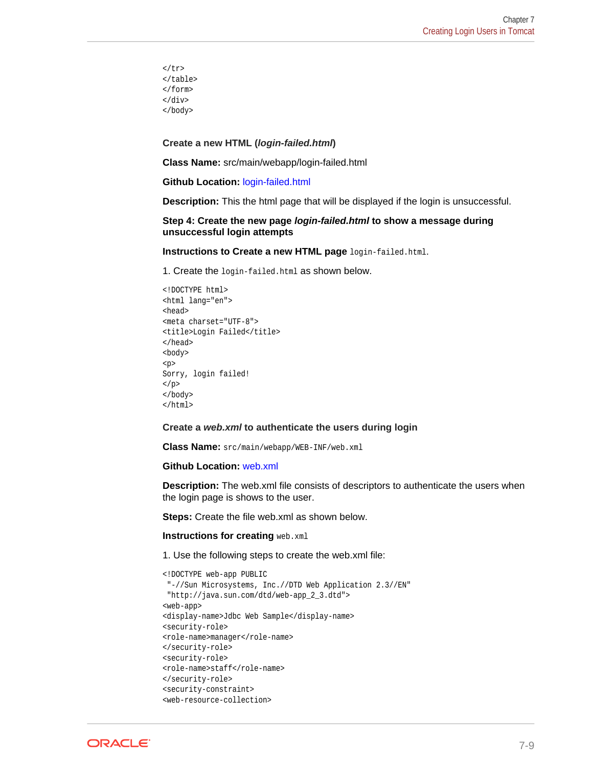$\langle$ tr> </table> </form> </div> </body>

**Create a new HTML (***login-failed.html***)**

**Class Name:** src/main/webapp/login-failed.html

**Github Location:** [login-failed.html](https://github.com/oracle/oracle-db-examples/blob/master/java/HRWebApp/src/main/webapp/login-failed.html)

**Description:** This the html page that will be displayed if the login is unsuccessful.

#### **Step 4: Create the new page** *login-failed.html* **to show a message during unsuccessful login attempts**

**Instructions to Create a new HTML page** login-failed.html.

1. Create the login-failed.html as shown below.

```
<!DOCTYPE html>
<html lang="en">
<head>
<meta charset="UTF-8">
<title>Login Failed</title>
</head>
<body>
<p>
Sorry, login failed!
\langle/p>
</body>
</html>
```
#### **Create a** *web.xml* **to authenticate the users during login**

**Class Name:** src/main/webapp/WEB-INF/web.xml

#### **Github Location:** [web.xml](https://github.com/oracle/oracle-db-examples/blob/master/java/HRWebApp/src/main/webapp/WEB-INF/web.xml)

**Description:** The web.xml file consists of descriptors to authenticate the users when the login page is shows to the user.

**Steps:** Create the file web.xml as shown below.

#### **Instructions for creating** web.xml

1. Use the following steps to create the web.xml file:

```
<!DOCTYPE web-app PUBLIC
 "-//Sun Microsystems, Inc.//DTD Web Application 2.3//EN"
 "http://java.sun.com/dtd/web-app_2_3.dtd">
<web-app>
<display-name>Jdbc Web Sample</display-name>
<security-role>
<role-name>manager</role-name>
</security-role>
<security-role>
<role-name>staff</role-name>
</security-role>
<security-constraint>
<web-resource-collection>
```
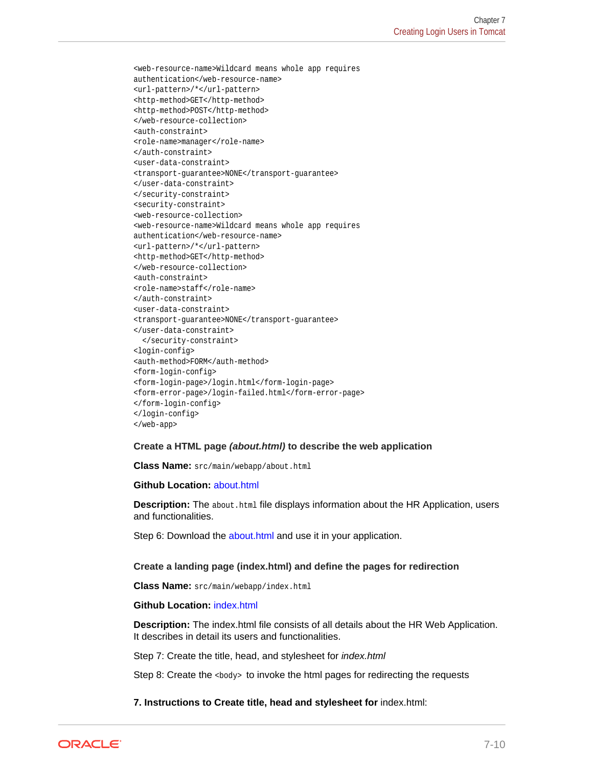<web-resource-name>Wildcard means whole app requires authentication</web-resource-name> <url-pattern>/\*</url-pattern> <http-method>GET</http-method> <http-method>POST</http-method> </web-resource-collection> <auth-constraint> <role-name>manager</role-name> </auth-constraint> <user-data-constraint> <transport-guarantee>NONE</transport-guarantee> </user-data-constraint> </security-constraint> <security-constraint> <web-resource-collection> <web-resource-name>Wildcard means whole app requires authentication</web-resource-name> <url-pattern>/\*</url-pattern> <http-method>GET</http-method> </web-resource-collection> <auth-constraint> <role-name>staff</role-name> </auth-constraint> <user-data-constraint> <transport-guarantee>NONE</transport-guarantee> </user-data-constraint> </security-constraint> <login-config> <auth-method>FORM</auth-method> <form-login-config> <form-login-page>/login.html</form-login-page> <form-error-page>/login-failed.html</form-error-page> </form-login-config> </login-config> </web-app>

#### **Create a HTML page** *(about.html)* **to describe the web application**

**Class Name:** src/main/webapp/about.html

#### **Github Location:** [about.html](https://github.com/oracle/oracle-db-examples/blob/master/java/HRWebApp/src/main/webapp/about.html)

**Description:** The about.html file displays information about the HR Application, users and functionalities.

Step 6: Download the [about.html](https://github.com/oracle/oracle-db-examples/blob/master/java/HRWebApp/src/main/webapp/about.html) and use it in your application.

#### **Create a landing page (index.html) and define the pages for redirection**

**Class Name:** src/main/webapp/index.html

#### **Github Location:** [index.html](https://github.com/oracle/oracle-db-examples/blob/master/java/HRWebApp/src/main/webapp/index.html)

**Description:** The index.html file consists of all details about the HR Web Application. It describes in detail its users and functionalities.

Step 7: Create the title, head, and stylesheet for *index.html*

Step 8: Create the <body> to invoke the html pages for redirecting the requests

#### **7. Instructions to Create title, head and stylesheet for** index.html:

ORACLE®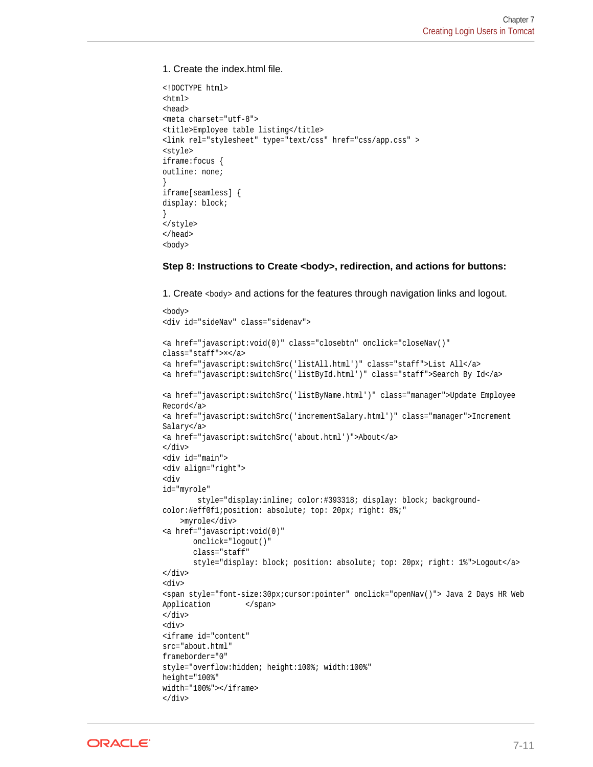#### 1. Create the index.html file.

```
<!DOCTYPE html>
<html>
<head>
<meta charset="utf-8">
<title>Employee table listing</title>
<link rel="stylesheet" type="text/css" href="css/app.css" >
<style>
iframe:focus {
outline: none;
}
iframe[seamless] {
display: block;
}
</style>
</head>
<body>
```
#### **Step 8: Instructions to Create <body>, redirection, and actions for buttons:**

1. Create <body> and actions for the features through navigation links and logout.

```
<body>
<div id="sideNav" class="sidenav">
<a href="javascript:void(0)" class="closebtn" onclick="closeNav()" 
class="staff">×</a>
<a href="javascript:switchSrc('listAll.html')" class="staff">List All</a>
<a href="javascript:switchSrc('listById.html')" class="staff">Search By Id</a>
<a href="javascript:switchSrc('listByName.html')" class="manager">Update Employee 
Record</a>
<a href="javascript:switchSrc('incrementSalary.html')" class="manager">Increment 
Salary</a>
<a href="javascript:switchSrc('about.html')">About</a>
</div>
<div id="main">
<div align="right">
<div
id="myrole"
         style="display:inline; color:#393318; display: block; background-
color:#eff0f1;position: absolute; top: 20px; right: 8%;"
     >myrole</div>
<a href="javascript:void(0)"
       onclick="logout()"
        class="staff"
        style="display: block; position: absolute; top: 20px; right: 1%">Logout</a>
</div>
<div>
<span style="font-size:30px;cursor:pointer" onclick="openNav()"> Java 2 Days HR Web 
Application </span>
</div>
<div>
<iframe id="content"
src="about.html"
frameborder="0"
style="overflow:hidden; height:100%; width:100%"
height="100%"
width="100%"></iframe>
</div>
```
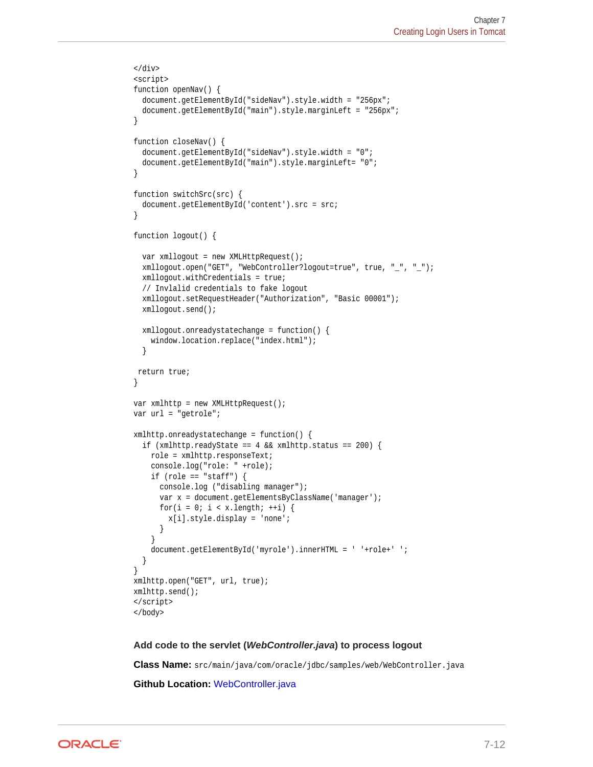```
</div>
<script>
function openNav() {
   document.getElementById("sideNav").style.width = "256px";
   document.getElementById("main").style.marginLeft = "256px";
}
function closeNav() {
   document.getElementById("sideNav").style.width = "0";
   document.getElementById("main").style.marginLeft= "0";
}
function switchSrc(src) {
   document.getElementById('content').src = src;
}
function logout() {
   var xmllogout = new XMLHttpRequest();
   xmllogout.open("GET", "WebController?logout=true", true, "_", "_");
   xmllogout.withCredentials = true;
   // Invlalid credentials to fake logout
   xmllogout.setRequestHeader("Authorization", "Basic 00001");
   xmllogout.send();
   xmllogout.onreadystatechange = function() {
     window.location.replace("index.html");
   }
  return true;
}
var xmlhttp = new XMLHttpRequest();
var url = "getrole";
xmlhttp.onreadystatechange = function() {
  if (xmlhttp.readyState == 4 \&x xmlhttp.status == 200) {
     role = xmlhttp.responseText;
     console.log("role: " +role);
    if (role == "\text{staff" }) {
       console.log ("disabling manager");
       var x = document.getElementsByClassName('manager');
      for(i = 0; i < x.length; ++i) {
         x[i].style.display = 'none';
       }
     }
     document.getElementById('myrole').innerHTML = ' '+role+' ';
   }
}
xmlhttp.open("GET", url, true);
xmlhttp.send();
</script>
</body>
```
**Add code to the servlet (***WebController.java***) to process logout**

**Class Name:** src/main/java/com/oracle/jdbc/samples/web/WebController.java

**Github Location:** [WebController.java](https://github.com/oracle/oracle-db-examples/blob/master/java/HRWebApp/src/main/java/com/oracle/jdbc/samples/web/WebController.java)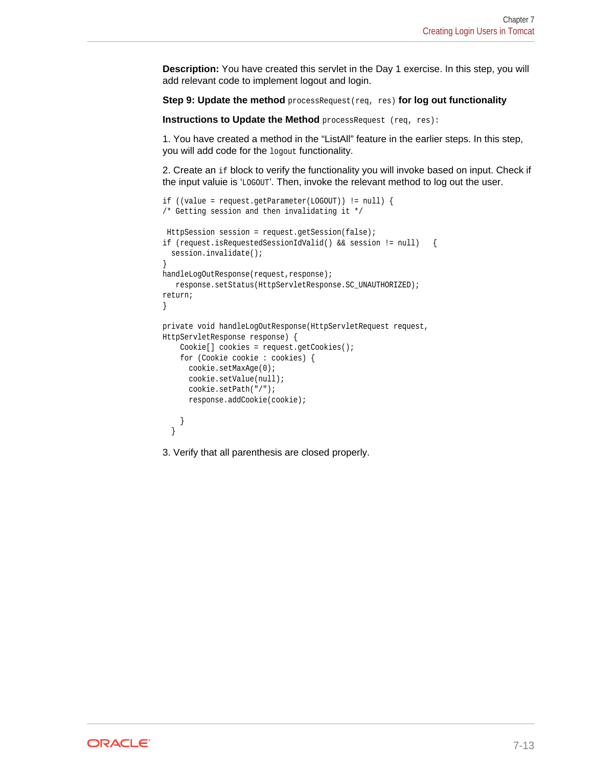**Description:** You have created this servlet in the Day 1 exercise. In this step, you will add relevant code to implement logout and login.

**Step 9: Update the method** processRequest(req, res) for log out functionality

**Instructions to Update the Method** processRequest (req, res):

1. You have created a method in the "ListAll" feature in the earlier steps. In this step, you will add code for the logout functionality.

2. Create an if block to verify the functionality you will invoke based on input. Check if the input valuie is 'LOGOUT'. Then, invoke the relevant method to log out the user.

```
if ((value = request.getParameter(LOGOUT)) != null {
/* Getting session and then invalidating it */
  HttpSession session = request.getSession(false);
if (request.isRequestedSessionIdValid() && session != null) {
   session.invalidate();
}
handleLogOutResponse(request,response);
   response.setStatus(HttpServletResponse.SC_UNAUTHORIZED);
return;
} 
private void handleLogOutResponse(HttpServletRequest request,
HttpServletResponse response) {
     Cookie[] cookies = request.getCookies();
     for (Cookie cookie : cookies) {
       cookie.setMaxAge(0);
       cookie.setValue(null);
       cookie.setPath("/");
       response.addCookie(cookie);
     }
   }
```
3. Verify that all parenthesis are closed properly.

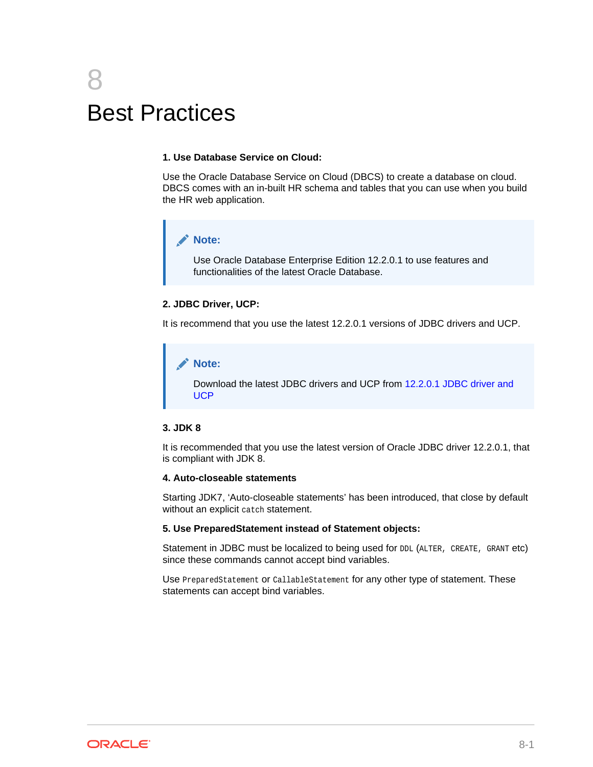# <span id="page-52-0"></span>8 Best Practices

#### **1. Use Database Service on Cloud:**

Use the Oracle Database Service on Cloud (DBCS) to create a database on cloud. DBCS comes with an in-built HR schema and tables that you can use when you build the HR web application.

#### **Note:**

Use Oracle Database Enterprise Edition 12.2.0.1 to use features and functionalities of the latest Oracle Database.

#### **2. JDBC Driver, UCP:**

It is recommend that you use the latest 12.2.0.1 versions of JDBC drivers and UCP.

#### **Note:**

Download the latest JDBC drivers and UCP from [12.2.0.1 JDBC driver and](http://www.oracle.com/technetwork/database/features/jdbc/jdbc-ucp-122-3110062.html) **[UCP](http://www.oracle.com/technetwork/database/features/jdbc/jdbc-ucp-122-3110062.html)** 

#### **3. JDK 8**

It is recommended that you use the latest version of Oracle JDBC driver 12.2.0.1, that is compliant with JDK 8.

#### **4. Auto-closeable statements**

Starting JDK7, 'Auto-closeable statements' has been introduced, that close by default without an explicit catch statement.

#### **5. Use PreparedStatement instead of Statement objects:**

Statement in JDBC must be localized to being used for DDL (ALTER, CREATE, GRANT etc) since these commands cannot accept bind variables.

Use PreparedStatement Or CallableStatement for any other type of statement. These statements can accept bind variables.

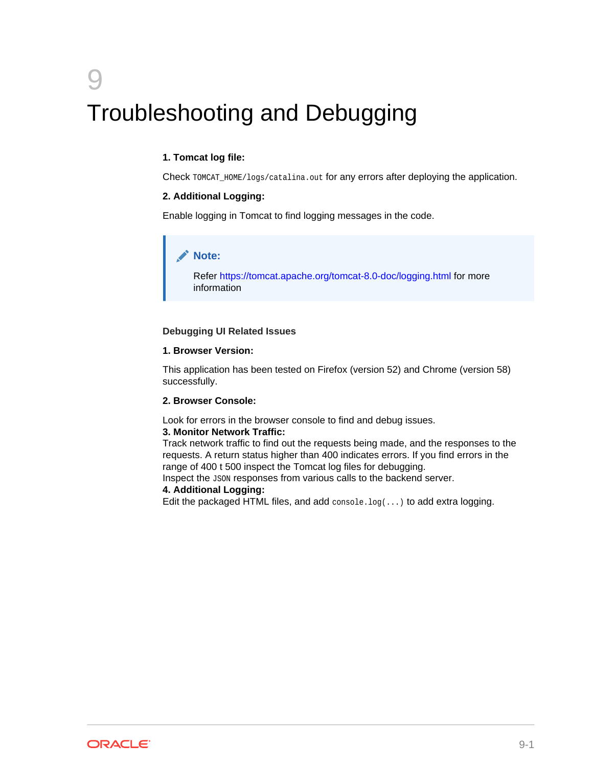# <span id="page-53-0"></span>9 Troubleshooting and Debugging

#### **1. Tomcat log file:**

Check TOMCAT\_HOME/logs/catalina.out for any errors after deploying the application.

#### **2. Additional Logging:**

Enable logging in Tomcat to find logging messages in the code.



Refer<https://tomcat.apache.org/tomcat-8.0-doc/logging.html> for more information

#### **Debugging UI Related Issues**

#### **1. Browser Version:**

This application has been tested on Firefox (version 52) and Chrome (version 58) successfully.

#### **2. Browser Console:**

Look for errors in the browser console to find and debug issues.

#### **3. Monitor Network Traffic:**

Track network traffic to find out the requests being made, and the responses to the requests. A return status higher than 400 indicates errors. If you find errors in the range of 400 t 500 inspect the Tomcat log files for debugging.

Inspect the JSON responses from various calls to the backend server.

#### **4. Additional Logging:**

Edit the packaged HTML files, and add console.log(...) to add extra logging.